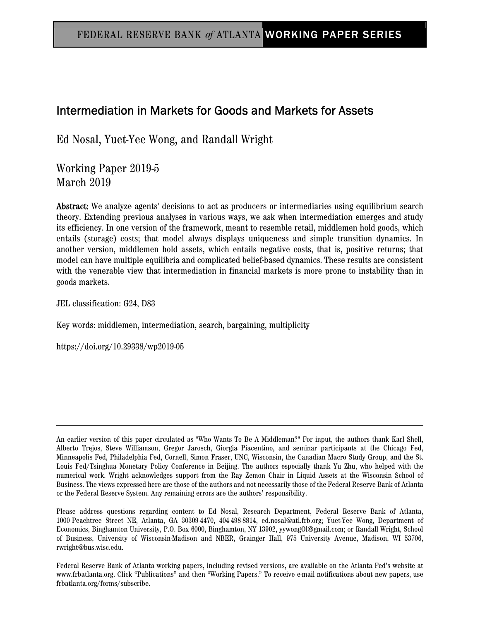# Intermediation in Markets for Goods and Markets for Assets

Ed Nosal, Yuet-Yee Wong, and Randall Wright

Working Paper 2019-5 March 2019

Abstract: We analyze agents' decisions to act as producers or intermediaries using equilibrium search theory. Extending previous analyses in various ways, we ask when intermediation emerges and study its efficiency. In one version of the framework, meant to resemble retail, middlemen hold goods, which entails (storage) costs; that model always displays uniqueness and simple transition dynamics. In another version, middlemen hold assets, which entails negative costs, that is, positive returns; that model can have multiple equilibria and complicated belief-based dynamics. These results are consistent with the venerable view that intermediation in financial markets is more prone to instability than in goods markets.

JEL classification: G24, D83

Key words: middlemen, intermediation, search, bargaining, multiplicity

https://doi.org/10.29338/wp2019-05

Federal Reserve Bank of Atlanta working papers, including revised versions, are available on the Atlanta Fed's website at www.frbatlanta.org. Click "Publications" and then "Working Papers." To receive e-mail notifications about new papers, use frbatlanta.org/forms/subscribe.

An earlier version of this paper circulated as "Who Wants To Be A Middleman?" For input, the authors thank Karl Shell, Alberto Trejos, Steve Williamson, Gregor Jarosch, Giorgia Piacentino, and seminar participants at the Chicago Fed, Minneapolis Fed, Philadelphia Fed, Cornell, Simon Fraser, UNC, Wisconsin, the Canadian Macro Study Group, and the St. Louis Fed/Tsinghua Monetary Policy Conference in Beijing. The authors especially thank Yu Zhu, who helped with the numerical work. Wright acknowledges support from the Ray Zemon Chair in Liquid Assets at the Wisconsin School of Business. The views expressed here are those of the authors and not necessarily those of the Federal Reserve Bank of Atlanta or the Federal Reserve System. Any remaining errors are the authors' responsibility.

Please address questions regarding content to Ed Nosal, Research Department, Federal Reserve Bank of Atlanta, 1000 Peachtree Street NE, Atlanta, GA 30309-4470, 404-498-8814, ed.nosal@atl.frb.org; Yuet-Yee Wong, Department of Economics, Binghamton University, P.O. Box 6000, Binghamton, NY 13902, yywongOl@gmail.com; or Randall Wright, School of Business, University of Wisconsin-Madison and NBER, Grainger Hall, 975 University Avenue, Madison, WI 53706, rwright@bus.wisc.edu.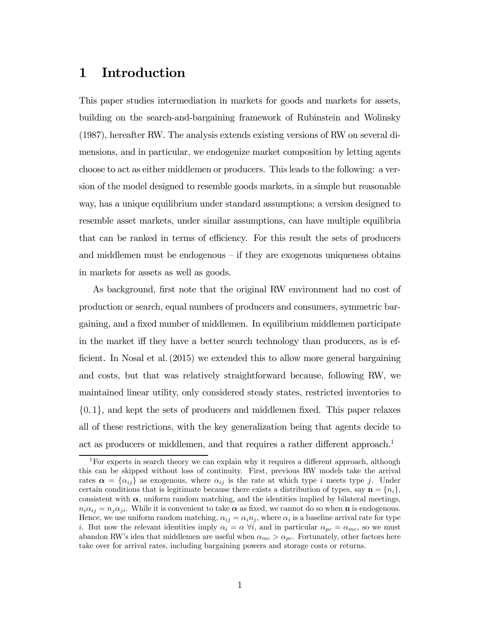## 1 Introduction

This paper studies intermediation in markets for goods and markets for assets, building on the search-and-bargaining framework of Rubinstein and Wolinsky (1987), hereafter RW. The analysis extends existing versions of RW on several dimensions, and in particular, we endogenize market composition by letting agents choose to act as either middlemen or producers. This leads to the following: a version of the model designed to resemble goods markets, in a simple but reasonable way, has a unique equilibrium under standard assumptions; a version designed to resemble asset markets, under similar assumptions, can have multiple equilibria that can be ranked in terms of efficiency. For this result the sets of producers and middlemen must be endogenous — if they are exogenous uniqueness obtains in markets for assets as well as goods.

As background, first note that the original RW environment had no cost of production or search, equal numbers of producers and consumers, symmetric bargaining, and a fixed number of middlemen. In equilibrium middlemen participate in the market iff they have a better search technology than producers, as is efficient. In Nosal et al. (2015) we extended this to allow more general bargaining and costs, but that was relatively straightforward because, following RW, we maintained linear utility, only considered steady states, restricted inventories to  $\{0,1\}$ , and kept the sets of producers and middlemen fixed. This paper relaxes all of these restrictions, with the key generalization being that agents decide to act as producers or middlemen, and that requires a rather different approach.<sup>1</sup>

<sup>&</sup>lt;sup>1</sup>For experts in search theory we can explain why it requires a different approach, although this can be skipped without loss of continuity. First, previous RW models take the arrival rates  $\alpha = {\alpha_{ij}}$  as exogenous, where  $\alpha_{ij}$  is the rate at which type *i* meets type *j*. Under certain conditions that is legitimate because there exists a distribution of types, say  $\mathbf{n} = \{n_i\}$ , consistent with  $\alpha$ , uniform random matching, and the identities implied by bilateral meetings,  $n_i \alpha_{ij} = n_j \alpha_{ji}$ . While it is convenient to take  $\alpha$  as fixed, we cannot do so when **n** is endogenous. Hence, we use uniform random matching,  $\alpha_{ij} = \alpha_i n_j$ , where  $\alpha_i$  is a baseline arrival rate for type i. But now the relevant identities imply  $\alpha_i = \alpha \forall i$ , and in particular  $\alpha_{pc} = \alpha_{mc}$ , so we must abandon RW's idea that middlemen are useful when  $\alpha_{mc} > \alpha_{pc}$ . Fortunately, other factors here take over for arrival rates, including bargaining powers and storage costs or returns.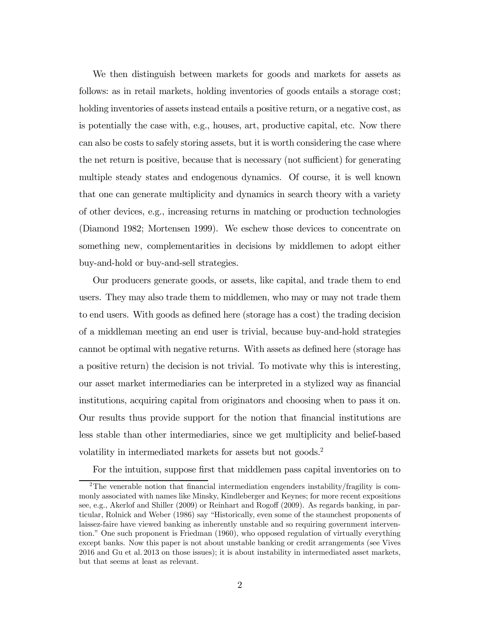We then distinguish between markets for goods and markets for assets as follows: as in retail markets, holding inventories of goods entails a storage cost; holding inventories of assets instead entails a positive return, or a negative cost, as is potentially the case with, e.g., houses, art, productive capital, etc. Now there can also be costs to safely storing assets, but it is worth considering the case where the net return is positive, because that is necessary (not sufficient) for generating multiple steady states and endogenous dynamics. Of course, it is well known that one can generate multiplicity and dynamics in search theory with a variety of other devices, e.g., increasing returns in matching or production technologies (Diamond 1982; Mortensen 1999). We eschew those devices to concentrate on something new, complementarities in decisions by middlemen to adopt either buy-and-hold or buy-and-sell strategies.

Our producers generate goods, or assets, like capital, and trade them to end users. They may also trade them to middlemen, who may or may not trade them to end users. With goods as defined here (storage has a cost) the trading decision of a middleman meeting an end user is trivial, because buy-and-hold strategies cannot be optimal with negative returns. With assets as defined here (storage has a positive return) the decision is not trivial. To motivate why this is interesting, our asset market intermediaries can be interpreted in a stylized way as financial institutions, acquiring capital from originators and choosing when to pass it on. Our results thus provide support for the notion that financial institutions are less stable than other intermediaries, since we get multiplicity and belief-based volatility in intermediated markets for assets but not goods.<sup>2</sup>

For the intuition, suppose first that middlemen pass capital inventories on to

<sup>2</sup>The venerable notion that financial intermediation engenders instability/fragility is commonly associated with names like Minsky, Kindleberger and Keynes; for more recent expositions see, e.g., Akerlof and Shiller (2009) or Reinhart and Rogoff (2009). As regards banking, in particular, Rolnick and Weber (1986) say "Historically, even some of the staunchest proponents of laissez-faire have viewed banking as inherently unstable and so requiring government intervention." One such proponent is Friedman (1960), who opposed regulation of virtually everything except banks. Now this paper is not about unstable banking or credit arrangements (see Vives 2016 and Gu et al. 2013 on those issues); it is about instability in intermediated asset markets, but that seems at least as relevant.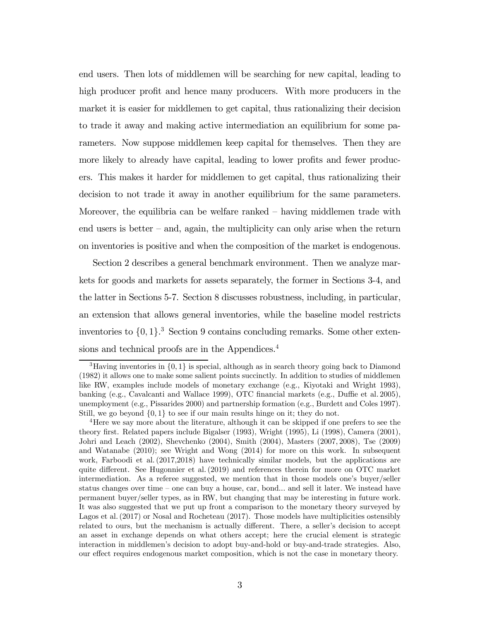end users. Then lots of middlemen will be searching for new capital, leading to high producer profit and hence many producers. With more producers in the market it is easier for middlemen to get capital, thus rationalizing their decision to trade it away and making active intermediation an equilibrium for some parameters. Now suppose middlemen keep capital for themselves. Then they are more likely to already have capital, leading to lower profits and fewer producers. This makes it harder for middlemen to get capital, thus rationalizing their decision to not trade it away in another equilibrium for the same parameters. Moreover, the equilibria can be welfare ranked — having middlemen trade with end users is better — and, again, the multiplicity can only arise when the return on inventories is positive and when the composition of the market is endogenous.

Section 2 describes a general benchmark environment. Then we analyze markets for goods and markets for assets separately, the former in Sections 3-4, and the latter in Sections 5-7. Section 8 discusses robustness, including, in particular, an extension that allows general inventories, while the baseline model restricts inventories to  $\{0, 1\}$ .<sup>3</sup> Section 9 contains concluding remarks. Some other extensions and technical proofs are in the Appendices.<sup>4</sup>

<sup>&</sup>lt;sup>3</sup>Having inventories in  $\{0, 1\}$  is special, although as in search theory going back to Diamond (1982) it allows one to make some salient points succinctly. In addition to studies of middlemen like RW, examples include models of monetary exchange (e.g., Kiyotaki and Wright 1993), banking (e.g., Cavalcanti and Wallace 1999), OTC financial markets (e.g., Duffie et al. 2005), unemployment (e.g., Pissarides 2000) and partnership formation (e.g., Burdett and Coles 1997). Still, we go beyond  $\{0,1\}$  to see if our main results hinge on it; they do not.

<sup>4</sup>Here we say more about the literature, although it can be skipped if one prefers to see the theory first. Related papers include Bigalser (1993), Wright (1995), Li (1998), Camera (2001), Johri and Leach (2002), Shevchenko (2004), Smith (2004), Masters (2007, 2008), Tse (2009) and Watanabe (2010); see Wright and Wong (2014) for more on this work. In subsequent work, Farboodi et al. (2017,2018) have technically similar models, but the applications are quite different. See Hugonnier et al. (2019) and references therein for more on OTC market intermediation. As a referee suggested, we mention that in those models one's buyer/seller status changes over time — one can buy a house, car, bond... and sell it later. We instead have permanent buyer/seller types, as in RW, but changing that may be interesting in future work. It was also suggested that we put up front a comparison to the monetary theory surveyed by Lagos et al. (2017) or Nosal and Rocheteau (2017). Those models have multiplicities ostensibly related to ours, but the mechanism is actually different. There, a seller's decision to accept an asset in exchange depends on what others accept; here the crucial element is strategic interaction in middlemen's decision to adopt buy-and-hold or buy-and-trade strategies. Also, our effect requires endogenous market composition, which is not the case in monetary theory.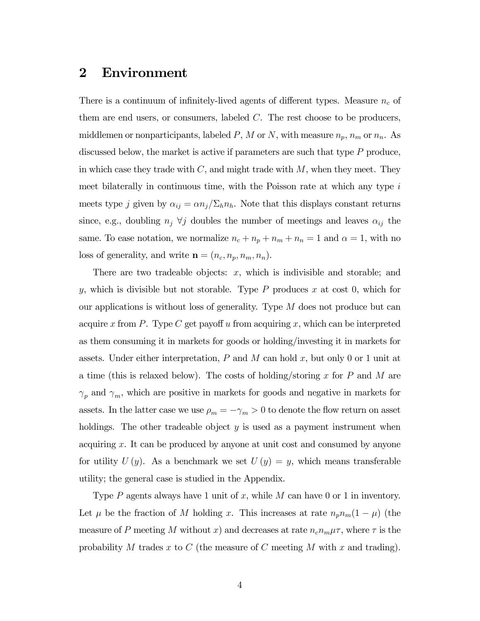## 2 Environment

There is a continuum of infinitely-lived agents of different types. Measure  $n_c$  of them are end users, or consumers, labeled  $C$ . The rest choose to be producers, middlemen or nonparticipants, labeled  $P$ ,  $M$  or  $N$ , with measure  $n_p$ ,  $n_m$  or  $n_n$ . As discussed below, the market is active if parameters are such that type  $P$  produce, in which case they trade with  $C$ , and might trade with  $M$ , when they meet. They meet bilaterally in continuous time, with the Poisson rate at which any type  $i$ meets type *j* given by  $\alpha_{ij} = \alpha n_j / \sum_h n_h$ . Note that this displays constant returns since, e.g., doubling  $n_j \forall j$  doubles the number of meetings and leaves  $\alpha_{ij}$  the same. To ease notation, we normalize  $n_c + n_p + n_m + n_n = 1$  and  $\alpha = 1$ , with no loss of generality, and write  $\mathbf{n} = (n_c, n_p, n_m, n_n)$ .

There are two tradeable objects:  $x$ , which is indivisible and storable; and y, which is divisible but not storable. Type  $P$  produces  $x$  at cost 0, which for our applications is without loss of generality. Type  $M$  does not produce but can acquire x from P. Type C get payoff u from acquiring x, which can be interpreted as them consuming it in markets for goods or holding/investing it in markets for assets. Under either interpretation,  $P$  and  $M$  can hold  $x$ , but only 0 or 1 unit at a time (this is relaxed below). The costs of holding/storing  $x$  for  $P$  and  $M$  are  $\gamma_p$  and  $\gamma_m$ , which are positive in markets for goods and negative in markets for assets. In the latter case we use  $\rho_m = -\gamma_m > 0$  to denote the flow return on asset holdings. The other tradeable object  $y$  is used as a payment instrument when acquiring  $x$ . It can be produced by anyone at unit cost and consumed by anyone for utility  $U(y)$ . As a benchmark we set  $U(y) = y$ , which means transferable utility; the general case is studied in the Appendix.

Type  $P$  agents always have 1 unit of x, while  $M$  can have 0 or 1 in inventory. Let  $\mu$  be the fraction of M holding x. This increases at rate  $n_p n_m (1 - \mu)$  (the measure of P meeting M without x) and decreases at rate  $n_c n_m \mu \tau$ , where  $\tau$  is the probability M trades x to  $C$  (the measure of  $C$  meeting M with x and trading).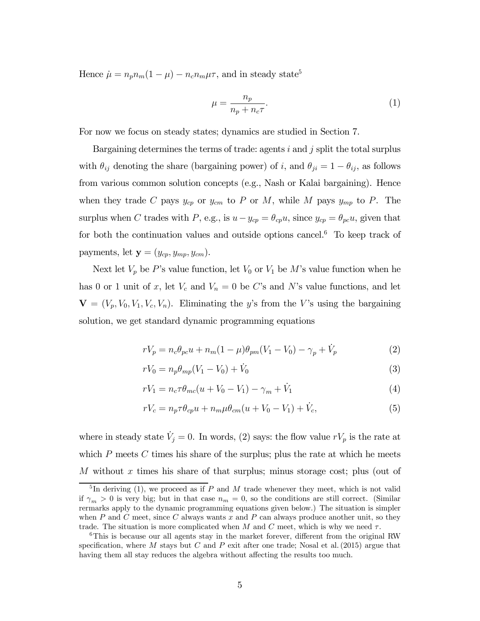Hence  $\mu = n_p n_m (1 - \mu) - n_c n_m \mu \tau$ , and in steady state<sup>5</sup>

$$
\mu = \frac{n_p}{n_p + n_c \tau}.\tag{1}
$$

For now we focus on steady states; dynamics are studied in Section 7.

Bargaining determines the terms of trade: agents  $i$  and  $j$  split the total surplus with  $\theta_{ij}$  denoting the share (bargaining power) of i, and  $\theta_{ji} = 1 - \theta_{ij}$ , as follows from various common solution concepts (e.g., Nash or Kalai bargaining). Hence when they trade C pays  $y_{cp}$  or  $y_{cm}$  to P or M, while M pays  $y_{mp}$  to P. The surplus when C trades with P, e.g., is  $u - y_{cp} = \theta_{cp} u$ , since  $y_{cp} = \theta_{pc} u$ , given that for both the continuation values and outside options cancel.<sup>6</sup> To keep track of payments, let  $\mathbf{y} = (y_{cp}, y_{mp}, y_{cm})$ .

Next let  $V_p$  be P's value function, let  $V_0$  or  $V_1$  be M's value function when he has 0 or 1 unit of x, let  $V_c$  and  $V_n = 0$  be C's and N's value functions, and let  ${\bf V} = (V_p, V_0, V_1, V_c, V_n)$ . Eliminating the y's from the V's using the bargaining solution, we get standard dynamic programming equations

$$
rV_p = n_c \theta_{pc} u + n_m (1 - \mu) \theta_{pm} (V_1 - V_0) - \gamma_p + \dot{V}_p
$$
 (2)

$$
rV_0 = n_p \theta_{mp} (V_1 - V_0) + \dot{V}_0
$$
\n(3)

$$
rV_1 = n_c \tau \theta_{mc} (u + V_0 - V_1) - \gamma_m + \dot{V}_1 \tag{4}
$$

$$
rV_c = n_p \tau \theta_{cp} u + n_m \mu \theta_{cm} (u + V_0 - V_1) + \dot{V}_c, \tag{5}
$$

where in steady state  $\dot{V}_j = 0$ . In words, (2) says: the flow value  $rV_p$  is the rate at which  $P$  meets  $C$  times his share of the surplus; plus the rate at which he meets M without  $x$  times his share of that surplus; minus storage cost; plus (out of

 $\overline{5}$ In deriving (1), we proceed as if P and M trade whenever they meet, which is not valid if  $\gamma_m > 0$  is very big; but in that case  $n_m = 0$ , so the conditions are still correct. (Similar rermarks apply to the dynamic programming equations given below.) The situation is simpler when  $P$  and  $C$  meet, since  $C$  always wants  $x$  and  $P$  can always produce another unit, so they trade. The situation is more complicated when M and C meet, which is why we need  $\tau$ .

<sup>&</sup>lt;sup>6</sup>This is because our all agents stay in the market forever, different from the original RW specification, where M stays but C and P exit after one trade; Nosal et al. (2015) argue that having them all stay reduces the algebra without affecting the results too much.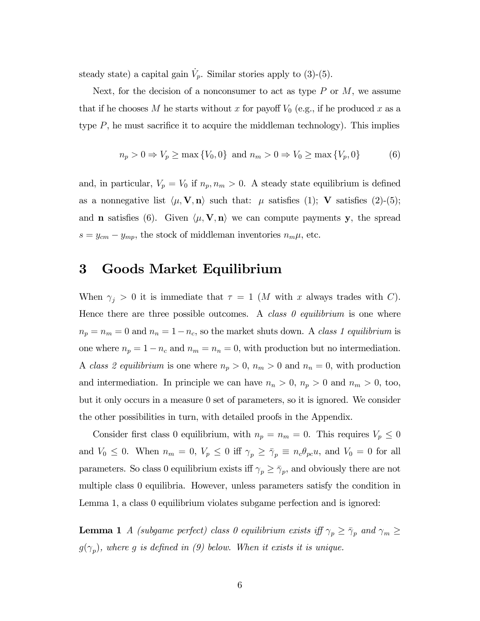steady state) a capital gain  $\dot{V}_p$ . Similar stories apply to (3)-(5).

Next, for the decision of a nonconsumer to act as type  $P$  or  $M$ , we assume that if he chooses M he starts without x for payoff  $V_0$  (e.g., if he produced x as a type  $P$ , he must sacrifice it to acquire the middleman technology). This implies

$$
n_p > 0 \Rightarrow V_p \ge \max\{V_0, 0\} \text{ and } n_m > 0 \Rightarrow V_0 \ge \max\{V_p, 0\}
$$
 (6)

and, in particular,  $V_p = V_0$  if  $n_p, n_m > 0$ . A steady state equilibrium is defined as a nonnegative list  $\langle \mu, \mathbf{V}, \mathbf{n} \rangle$  such that:  $\mu$  satisfies (1); **V** satisfies (2)-(5); and **n** satisfies (6). Given  $\langle \mu, \mathbf{V}, \mathbf{n} \rangle$  we can compute payments y, the spread  $s = y_{cm} - y_{mp}$ , the stock of middleman inventories  $n_m \mu$ , etc.

## 3 Goods Market Equilibrium

When  $\gamma_j > 0$  it is immediate that  $\tau = 1$  (*M* with *x* always trades with *C*). Hence there are three possible outcomes. A class  $\theta$  equilibrium is one where  $n_p = n_m = 0$  and  $n_n = 1 - n_c$ , so the market shuts down. A class 1 equilibrium is one where  $n_p = 1 - n_c$  and  $n_m = n_n = 0$ , with production but no intermediation. A class 2 equilibrium is one where  $n_p > 0$ ,  $n_m > 0$  and  $n_n = 0$ , with production and intermediation. In principle we can have  $n_n > 0$ ,  $n_p > 0$  and  $n_m > 0$ , too, but it only occurs in a measure 0 set of parameters, so it is ignored. We consider the other possibilities in turn, with detailed proofs in the Appendix.

Consider first class 0 equilibrium, with  $n_p = n_m = 0$ . This requires  $V_p \leq 0$ and  $V_0 \leq 0$ . When  $n_m = 0$ ,  $V_p \leq 0$  iff  $\gamma_p \geq \overline{\gamma}_p \equiv n_c \theta_{pc} u$ , and  $V_0 = 0$  for all parameters. So class 0 equilibrium exists iff  $\gamma_p \geq \overline{\gamma}_p$ , and obviously there are not multiple class 0 equilibria. However, unless parameters satisfy the condition in Lemma 1, a class 0 equilibrium violates subgame perfection and is ignored:

**Lemma 1** A (subgame perfect) class 0 equilibrium exists iff  $\gamma_p \geq \overline{\gamma}_p$  and  $\gamma_m \geq$  $g(\gamma_p)$ , where g is defined in (9) below. When it exists it is unique.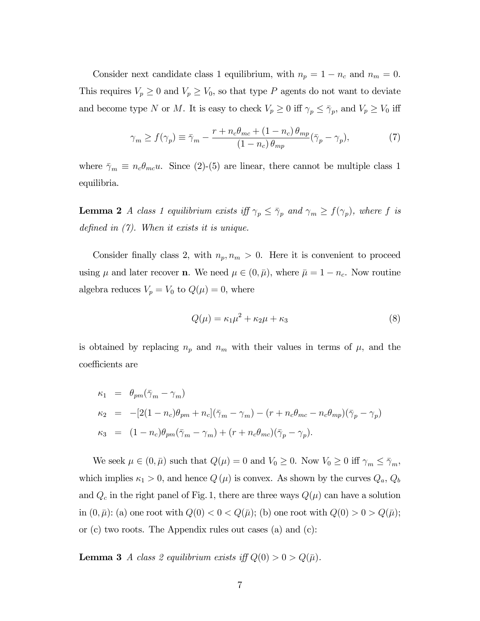Consider next candidate class 1 equilibrium, with  $n_p = 1 - n_c$  and  $n_m = 0$ . This requires  $V_p \geq 0$  and  $V_p \geq V_0$ , so that type P agents do not want to deviate and become type N or M. It is easy to check  $V_p \ge 0$  iff  $\gamma_p \le \overline{\gamma}_p$ , and  $V_p \ge V_0$  iff

$$
\gamma_m \ge f(\gamma_p) \equiv \bar{\gamma}_m - \frac{r + n_c \theta_{mc} + (1 - n_c) \theta_{mp}}{(1 - n_c) \theta_{mp}} (\bar{\gamma}_p - \gamma_p),\tag{7}
$$

where  $\bar{\gamma}_m \equiv n_c \theta_{mc} u$ . Since (2)-(5) are linear, there cannot be multiple class 1 equilibria.

**Lemma 2** A class 1 equilibrium exists iff  $\gamma_p \leq \overline{\gamma}_p$  and  $\gamma_m \geq f(\gamma_p)$ , where f is defined in (7). When it exists it is unique.

Consider finally class 2, with  $n_p, n_m > 0$ . Here it is convenient to proceed using  $\mu$  and later recover **n**. We need  $\mu \in (0, \bar{\mu})$ , where  $\bar{\mu} = 1 - n_c$ . Now routine algebra reduces  $V_p = V_0$  to  $Q(\mu) = 0$ , where

$$
Q(\mu) = \kappa_1 \mu^2 + \kappa_2 \mu + \kappa_3 \tag{8}
$$

is obtained by replacing  $n_p$  and  $n_m$  with their values in terms of  $\mu$ , and the coefficients are

$$
\begin{array}{rcl}\n\kappa_1 &=& \theta_{pm}(\bar{\gamma}_m - \gamma_m) \\
\kappa_2 &=& -[2(1 - n_c)\theta_{pm} + n_c](\bar{\gamma}_m - \gamma_m) - (r + n_c\theta_{mc} - n_c\theta_{mp})(\bar{\gamma}_p - \gamma_p) \\
\kappa_3 &=& (1 - n_c)\theta_{pm}(\bar{\gamma}_m - \gamma_m) + (r + n_c\theta_{mc})(\bar{\gamma}_p - \gamma_p).\n\end{array}
$$

We seek  $\mu \in (0, \bar{\mu})$  such that  $Q(\mu)=0$  and  $V_0 \geq 0$ . Now  $V_0 \geq 0$  iff  $\gamma_m \leq \bar{\gamma}_m$ , which implies  $\kappa_1 > 0$ , and hence  $Q(\mu)$  is convex. As shown by the curves  $Q_a, Q_b$ and  $Q_c$  in the right panel of Fig. 1, there are three ways  $Q(\mu)$  can have a solution in  $(0, \bar{\mu})$ : (a) one root with  $Q(0) < 0 < Q(\bar{\mu})$ ; (b) one root with  $Q(0) > 0 > Q(\bar{\mu})$ ; or (c) two roots. The Appendix rules out cases (a) and (c):

**Lemma 3** A class 2 equilibrium exists iff  $Q(0) > 0 > Q(\bar{\mu})$ .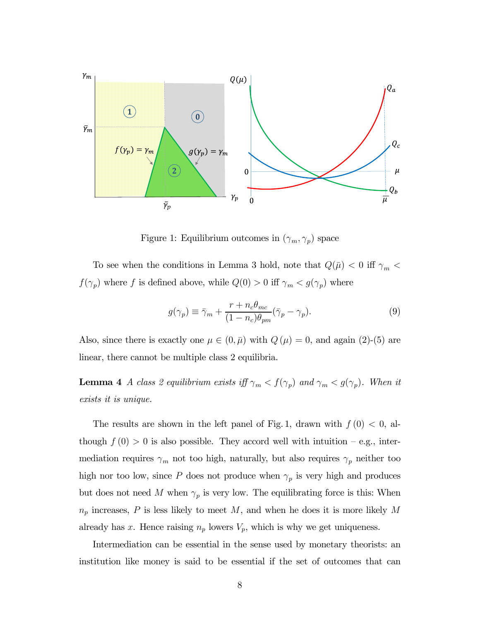

Figure 1: Equilibrium outcomes in  $(\gamma_m, \gamma_p)$  space

To see when the conditions in Lemma 3 hold, note that  $Q(\bar{\mu}) < 0$  iff  $\gamma_m <$  $f(\gamma_p)$  where  $f$  is defined above, while  $Q(0) > 0$  iff  $\gamma_m < g(\gamma_p)$  where

$$
g(\gamma_p) \equiv \bar{\gamma}_m + \frac{r + n_c \theta_{mc}}{(1 - n_c)\theta_{pm}} (\bar{\gamma}_p - \gamma_p). \tag{9}
$$

Also, since there is exactly one  $\mu \in (0, \bar{\mu})$  with  $Q(\mu)=0$ , and again (2)-(5) are linear, there cannot be multiple class 2 equilibria.

**Lemma 4** A class 2 equilibrium exists iff  $\gamma_m < f(\gamma_p)$  and  $\gamma_m < g(\gamma_p)$ . When it exists it is unique.

The results are shown in the left panel of Fig. 1, drawn with  $f(0) < 0$ , although  $f(0) > 0$  is also possible. They accord well with intuition – e.g., intermediation requires  $\gamma_m$  not too high, naturally, but also requires  $\gamma_p$  neither too high nor too low, since P does not produce when  $\gamma_p$  is very high and produces but does not need M when  $\gamma_p$  is very low. The equilibrating force is this: When  $n_p$  increases,  $P$  is less likely to meet  $M$ , and when he does it is more likely  $M$ already has x. Hence raising  $n_p$  lowers  $V_p$ , which is why we get uniqueness.

Intermediation can be essential in the sense used by monetary theorists: an institution like money is said to be essential if the set of outcomes that can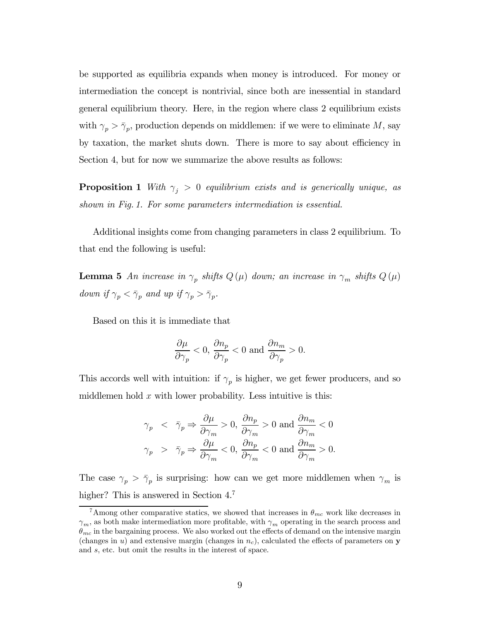be supported as equilibria expands when money is introduced. For money or intermediation the concept is nontrivial, since both are inessential in standard general equilibrium theory. Here, in the region where class 2 equilibrium exists with  $\gamma_p > \bar{\gamma}_p$ , production depends on middlemen: if we were to eliminate M, say by taxation, the market shuts down. There is more to say about efficiency in Section 4, but for now we summarize the above results as follows:

**Proposition 1** With  $\gamma_j > 0$  equilibrium exists and is generically unique, as shown in Fig. 1. For some parameters intermediation is essential.

Additional insights come from changing parameters in class 2 equilibrium. To that end the following is useful:

**Lemma 5** An increase in  $\gamma_p$  shifts  $Q(\mu)$  down; an increase in  $\gamma_m$  shifts  $Q(\mu)$ down if  $\gamma_p < \bar{\gamma}_p$  and up if  $\gamma_p > \bar{\gamma}_p$ .

Based on this it is immediate that

$$
\frac{\partial \mu}{\partial \gamma_p} < 0, \frac{\partial n_p}{\partial \gamma_p} < 0 \text{ and } \frac{\partial n_m}{\partial \gamma_p} > 0.
$$

This accords well with intuition: if  $\gamma_p$  is higher, we get fewer producers, and so middlemen hold  $x$  with lower probability. Less intuitive is this:

$$
\begin{array}{lcl} \gamma_p & < & \bar{\gamma}_p\Rightarrow\displaystyle\frac{\partial\mu}{\partial\gamma_m}>0,\, \frac{\partial n_p}{\partial\gamma_m}>0 \textrm{ and } \frac{\partial n_m}{\partial\gamma_m}<0 \\ \gamma_p & > & \bar{\gamma}_p\Rightarrow\displaystyle\frac{\partial\mu}{\partial\gamma_m}<0,\, \frac{\partial n_p}{\partial\gamma_m}<0 \textrm{ and } \frac{\partial n_m}{\partial\gamma_m}>0. \end{array}
$$

The case  $\gamma_p > \bar{\gamma}_p$  is surprising: how can we get more middlemen when  $\gamma_m$  is higher? This is answered in Section 4.7

<sup>&</sup>lt;sup>7</sup>Among other comparative statics, we showed that increases in  $\theta_{mc}$  work like decreases in  $\gamma_m$ , as both make intermediation more profitable, with  $\gamma_m$  operating in the search process and  $\theta_{mc}$  in the bargaining process. We also worked out the effects of demand on the intensive margin (changes in u) and extensive margin (changes in  $n_c$ ), calculated the effects of parameters on y and s, etc. but omit the results in the interest of space.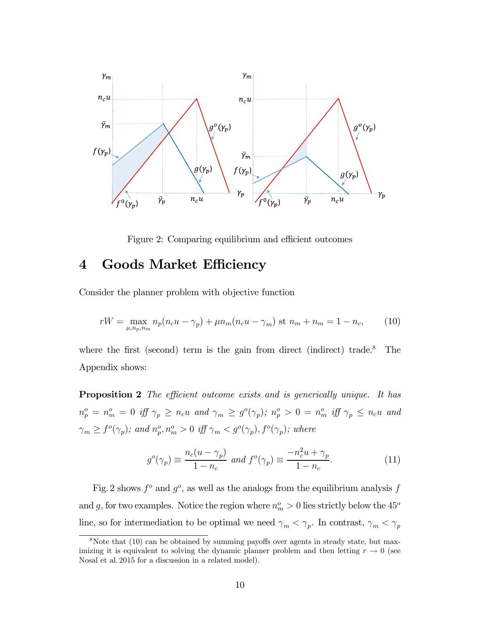

Figure 2: Comparing equilibrium and efficient outcomes

## 4 Goods Market Efficiency

Consider the planner problem with objective function

$$
rW = \max_{\mu, n_p, n_m} n_p(n_c u - \gamma_p) + \mu n_m(n_c u - \gamma_m) \text{ st } n_m + n_m = 1 - n_c,
$$
 (10)

where the first (second) term is the gain from direct (indirect) trade.<sup>8</sup> The Appendix shows:

**Proposition 2** The efficient outcome exists and is generically unique. It has  $n_p^o = n_m^o = 0$  iff  $\gamma_p \ge n_c u$  and  $\gamma_m \ge g^o(\gamma_p)$ ;  $n_p^o > 0 = n_m^o$  iff  $\gamma_p \le n_c u$  and  $\gamma_m \ge f^o(\gamma_p)$ ; and  $n_p^o, n_m^o > 0$  iff  $\gamma_m < g^o(\gamma_p)$ ,  $f^o(\gamma_p)$ ; where

$$
g^{o}(\gamma_p) \equiv \frac{n_c(u - \gamma_p)}{1 - n_c} \text{ and } f^{o}(\gamma_p) \equiv \frac{-n_c^2 u + \gamma_p}{1 - n_c}.
$$
 (11)

Fig. 2 shows  $f^{\circ}$  and  $g^{\circ}$ , as well as the analogs from the equilibrium analysis f and g, for two examples. Notice the region where  $n_m^o > 0$  lies strictly below the 45<sup>o</sup> line, so for intermediation to be optimal we need  $\gamma_m < \gamma_p$ . In contrast,  $\gamma_m < \gamma_p$ 

 $8$ Note that (10) can be obtained by summing payoffs over agents in steady state, but maximizing it is equivalent to solving the dynamic planner problem and then letting  $r \to 0$  (see Nosal et al. 2015 for a discussion in a related model).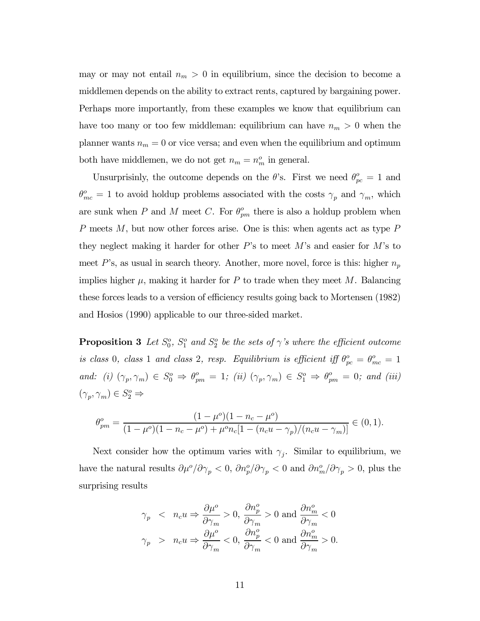may or may not entail  $n_m > 0$  in equilibrium, since the decision to become a middlemen depends on the ability to extract rents, captured by bargaining power. Perhaps more importantly, from these examples we know that equilibrium can have too many or too few middleman: equilibrium can have  $n_m > 0$  when the planner wants  $n_m = 0$  or vice versa; and even when the equilibrium and optimum both have middlemen, we do not get  $n_m = n_m^o$  in general.

Unsurprisinly, the outcome depends on the  $\theta$ 's. First we need  $\theta_{pc}^o = 1$  and  $\theta_{mc}^o = 1$  to avoid holdup problems associated with the costs  $\gamma_p$  and  $\gamma_m$ , which are sunk when P and M meet C. For  $\theta_{pm}^o$  there is also a holdup problem when P meets  $M$ , but now other forces arise. One is this: when agents act as type P they neglect making it harder for other  $P$ 's to meet  $M$ 's and easier for  $M$ 's to meet  $P$ 's, as usual in search theory. Another, more novel, force is this: higher  $n_p$ implies higher  $\mu$ , making it harder for P to trade when they meet M. Balancing these forces leads to a version of efficiency results going back to Mortensen (1982) and Hosios (1990) applicable to our three-sided market.

**Proposition 3** Let  $S_0^o$ ,  $S_1^o$  and  $S_2^o$  be the sets of  $\gamma$ 's where the efficient outcome is class 0, class 1 and class 2, resp. Equilibrium is efficient iff  $\theta_{pc}^o = \theta_{mc}^o = 1$ and: (i)  $(\gamma_p, \gamma_m) \in S_0^o \Rightarrow \theta_{pm}^o = 1$ ; (ii)  $(\gamma_p, \gamma_m) \in S_1^o \Rightarrow \theta_{pm}^o = 0$ ; and (iii)  $(\gamma_p, \gamma_m) \in S_2^o \Rightarrow$ 

$$
\theta_{pm}^o = \frac{(1-\mu^o)(1-n_c-\mu^o)}{(1-\mu^o)(1-n_c-\mu^o)+\mu^o n_c[1-(n_cu-\gamma_p)/(n_cu-\gamma_m)]} \in (0,1).
$$

Next consider how the optimum varies with  $\gamma_j$ . Similar to equilibrium, we have the natural results  $\partial \mu^o / \partial \gamma_p < 0$ ,  $\partial n_p^o / \partial \gamma_p < 0$  and  $\partial n_m^o / \partial \gamma_p > 0$ , plus the surprising results

$$
\begin{array}{lcl} \gamma_p & < & n_c u \Rightarrow \displaystyle\frac{\partial \mu^o}{\partial \gamma_m} > 0, \, \displaystyle\frac{\partial n^o_p}{\partial \gamma_m} > 0 \,\, \text{and} \,\, \displaystyle\frac{\partial n^o_m}{\partial \gamma_m} < 0 \\[5pt] \gamma_p & > & n_c u \Rightarrow \displaystyle\frac{\partial \mu^o}{\partial \gamma_m} < 0, \, \displaystyle\frac{\partial n^o_p}{\partial \gamma_m} < 0 \,\, \text{and} \,\, \displaystyle\frac{\partial n^o_m}{\partial \gamma_m} > 0. \end{array}
$$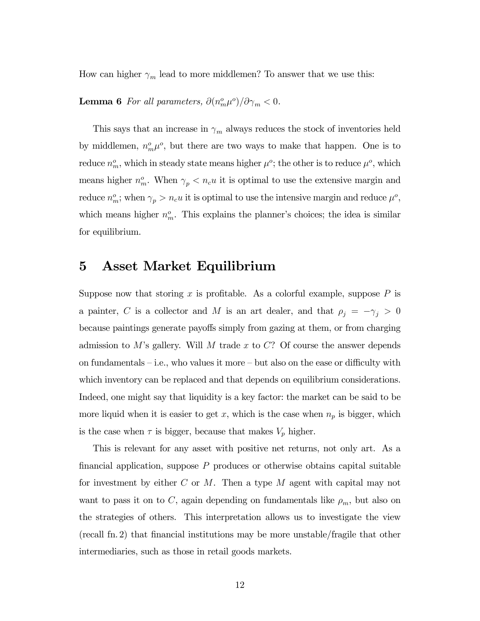How can higher  $\gamma_m$  lead to more middlemen? To answer that we use this:

**Lemma 6** For all parameters,  $\partial (n_m^o \mu^o)/\partial \gamma_m < 0$ .

This says that an increase in  $\gamma_m$  always reduces the stock of inventories held by middlemen,  $n_m^o \mu^o$ , but there are two ways to make that happen. One is to reduce  $n_m^o$ , which in steady state means higher  $\mu^o$ ; the other is to reduce  $\mu^o$ , which means higher  $n_m^o$ . When  $\gamma_p < n_c u$  it is optimal to use the extensive margin and reduce  $n_m^o$ ; when  $\gamma_p > n_c u$  it is optimal to use the intensive margin and reduce  $\mu^o$ , which means higher  $n_m^o$ . This explains the planner's choices; the idea is similar for equilibrium.

## 5 Asset Market Equilibrium

Suppose now that storing x is profitable. As a colorful example, suppose  $P$  is a painter, C is a collector and M is an art dealer, and that  $\rho_j = -\gamma_j > 0$ because paintings generate payoffs simply from gazing at them, or from charging admission to  $M$ 's gallery. Will  $M$  trade  $x$  to  $C$ ? Of course the answer depends on fundamentals — i.e., who values it more — but also on the ease or difficulty with which inventory can be replaced and that depends on equilibrium considerations. Indeed, one might say that liquidity is a key factor: the market can be said to be more liquid when it is easier to get x, which is the case when  $n_p$  is bigger, which is the case when  $\tau$  is bigger, because that makes  $V_p$  higher.

This is relevant for any asset with positive net returns, not only art. As a financial application, suppose  $P$  produces or otherwise obtains capital suitable for investment by either  $C$  or  $M$ . Then a type  $M$  agent with capital may not want to pass it on to C, again depending on fundamentals like  $\rho_m$ , but also on the strategies of others. This interpretation allows us to investigate the view (recall fn. 2) that financial institutions may be more unstable/fragile that other intermediaries, such as those in retail goods markets.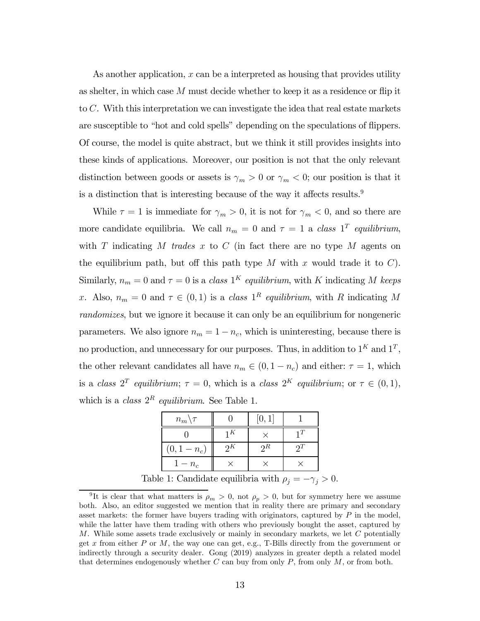As another application,  $x$  can be a interpreted as housing that provides utility as shelter, in which case  $M$  must decide whether to keep it as a residence or flip it to  $C$ . With this interpretation we can investigate the idea that real estate markets are susceptible to "hot and cold spells" depending on the speculations of flippers. Of course, the model is quite abstract, but we think it still provides insights into these kinds of applications. Moreover, our position is not that the only relevant distinction between goods or assets is  $\gamma_m > 0$  or  $\gamma_m < 0$ ; our position is that it is a distinction that is interesting because of the way it affects results.9

While  $\tau = 1$  is immediate for  $\gamma_m > 0$ , it is not for  $\gamma_m < 0$ , and so there are more candidate equilibria. We call  $n_m = 0$  and  $\tau = 1$  a class 1<sup>T</sup> equilibrium, with  $T$  indicating  $M$  trades  $x$  to  $C$  (in fact there are no type  $M$  agents on the equilibrium path, but off this path type M with x would trade it to  $C$ ). Similarly,  $n_m = 0$  and  $\tau = 0$  is a class  $1^K$  equilibrium, with K indicating M keeps x. Also,  $n_m = 0$  and  $\tau \in (0,1)$  is a class  $1^R$  equilibrium, with R indicating M randomizes, but we ignore it because it can only be an equilibrium for nongeneric parameters. We also ignore  $n_m = 1 - n_c$ , which is uninteresting, because there is no production, and unnecessary for our purposes. Thus, in addition to  $1^K$  and  $1^T$ , the other relevant candidates all have  $n_m \in (0, 1 - n_c)$  and either:  $\tau = 1$ , which is a class  $2^T$  equilibrium;  $\tau = 0$ , which is a class  $2^K$  equilibrium; or  $\tau \in (0,1)$ , which is a class  $2^R$  equilibrium. See Table 1.

| $n_m \backslash \tau$ |            | [0,1] |  |
|-----------------------|------------|-------|--|
|                       | 1K         |       |  |
| $(0, 1 - n_c)$        | $\gamma K$ | 2R    |  |
| $1-n_c$               |            |       |  |

Table 1: Candidate equilibria with  $\rho_j = -\gamma_j > 0$ .

<sup>&</sup>lt;sup>9</sup>It is clear that what matters is  $\rho_m > 0$ , not  $\rho_p > 0$ , but for symmetry here we assume both. Also, an editor suggested we mention that in reality there are primary and secondary asset markets: the former have buyers trading with originators, captured by  $P$  in the model, while the latter have them trading with others who previously bought the asset, captured by  $M$ . While some assets trade exclusively or mainly in secondary markets, we let  $C$  potentially get  $x$  from either  $P$  or  $M$ , the way one can get, e.g., T-Bills directly from the government or indirectly through a security dealer. Gong (2019) analyzes in greater depth a related model that determines endogenously whether  $C$  can buy from only  $P$ , from only  $M$ , or from both.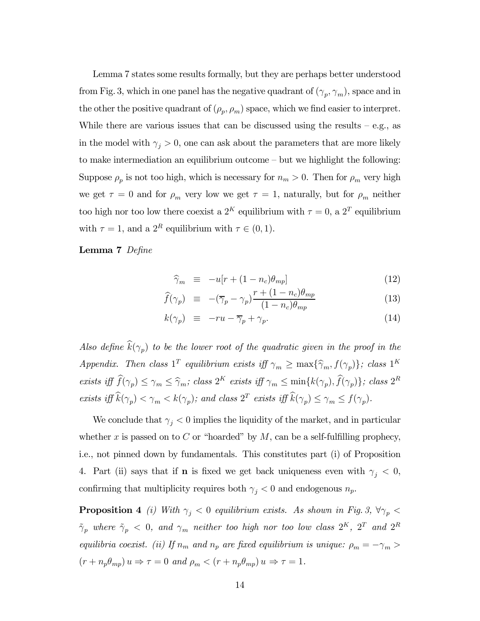Lemma 7 states some results formally, but they are perhaps better understood from Fig. 3, which in one panel has the negative quadrant of  $(\gamma_p, \gamma_m)$ , space and in the other the positive quadrant of  $(\rho_p, \rho_m)$  space, which we find easier to interpret. While there are various issues that can be discussed using the results  $-$  e.g., as in the model with  $\gamma_i > 0$ , one can ask about the parameters that are more likely to make intermediation an equilibrium outcome — but we highlight the following: Suppose  $\rho_p$  is not too high, which is necessary for  $n_m > 0$ . Then for  $\rho_m$  very high we get  $\tau = 0$  and for  $\rho_m$  very low we get  $\tau = 1$ , naturally, but for  $\rho_m$  neither too high nor too low there coexist a 2<sup>K</sup> equilibrium with  $\tau = 0$ , a 2<sup>T</sup> equilibrium with  $\tau = 1$ , and a  $2^R$  equilibrium with  $\tau \in (0, 1)$ .

#### Lemma 7 Define

$$
\widehat{\gamma}_m \equiv -u[r + (1 - n_c)\theta_{mp}] \tag{12}
$$

$$
\widehat{f}(\gamma_p) \equiv -(\overline{\gamma}_p - \gamma_p) \frac{r + (1 - n_c)\theta_{mp}}{(1 - n_c)\theta_{mp}} \tag{13}
$$

$$
k(\gamma_p) \equiv -ru - \overline{\gamma}_p + \gamma_p. \tag{14}
$$

Also define  $\hat{k}(\gamma_p)$  to be the lower root of the quadratic given in the proof in the Appendix. Then class  $1^T$  equilibrium exists iff  $\gamma_m \geq \max{\{\hat{\gamma}_m, f(\gamma_p)\}}$ ; class  $1^K$ exists iff  $\widehat{f}(\gamma_p) \leq \gamma_m \leq \widehat{\gamma}_m$ ; class  $2^K$  exists iff  $\gamma_m \leq \min\{k(\gamma_p), \widehat{f}(\gamma_p)\}$ ; class  $2^R$ exists iff  $\widehat{k}(\gamma_p) < \gamma_m < k(\gamma_p)$ ; and class  $2^T$  exists iff  $\widehat{k}(\gamma_p) \leq \gamma_m \leq f(\gamma_p)$ .

We conclude that  $\gamma_i < 0$  implies the liquidity of the market, and in particular whether x is passed on to C or "hoarded" by  $M$ , can be a self-fulfilling prophecy, i.e., not pinned down by fundamentals. This constitutes part (i) of Proposition 4. Part (ii) says that if **n** is fixed we get back uniqueness even with  $\gamma_j < 0$ , confirming that multiplicity requires both  $\gamma_j < 0$  and endogenous  $n_p$ .

**Proposition 4** (i) With  $\gamma_j < 0$  equilibrium exists. As shown in Fig. 3,  $\forall \gamma_p <$  $\tilde{\gamma}_p$  where  $\tilde{\gamma}_p$  < 0, and  $\gamma_m$  neither too high nor too low class  $2^K$ ,  $2^T$  and  $2^R$ equilibria coexist. (ii) If  $n_m$  and  $n_p$  are fixed equilibrium is unique:  $\rho_m = -\gamma_m >$  $(r + n_p \theta_{mp}) u \Rightarrow \tau = 0$  and  $\rho_m < (r + n_p \theta_{mp}) u \Rightarrow \tau = 1$ .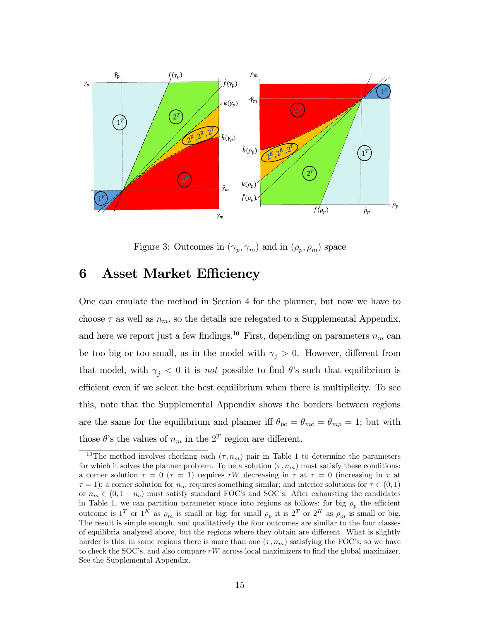

Figure 3: Outcomes in  $(\gamma_p, \gamma_m)$  and in  $(\rho_p, \rho_m)$  space

## 6 Asset Market Efficiency

One can emulate the method in Section 4 for the planner, but now we have to choose  $\tau$  as well as  $n_m$ , so the details are relegated to a Supplemental Appendix, and here we report just a few findings.<sup>10</sup> First, depending on parameters  $n_m$  can be too big or too small, as in the model with  $\gamma_j > 0$ . However, different from that model, with  $\gamma_j < 0$  it is not possible to find  $\theta$ 's such that equilibrium is efficient even if we select the best equilibrium when there is multiplicity. To see this, note that the Supplemental Appendix shows the borders between regions are the same for the equilibrium and planner iff  $\theta_{pc} = \theta_{mc} = \theta_{mp} = 1$ ; but with those  $\theta$ 's the values of  $n_m$  in the  $2^T$  region are different.

<sup>&</sup>lt;sup>10</sup>The method involves checking each  $(\tau, n_m)$  pair in Table 1 to determine the parameters for which it solves the planner problem. To be a solution  $(\tau, n_m)$  must satisfy these conditions: a corner solution  $\tau = 0$  ( $\tau = 1$ ) requires rW decreasing in  $\tau$  at  $\tau = 0$  (increasing in  $\tau$  at  $\tau = 1$ ; a corner solution for  $n_m$  requires something similar; and interior solutions for  $\tau \in (0,1)$ or  $n_m \in (0, 1 - n_c)$  must satisfy standard FOC's and SOC's. After exhausting the candidates in Table 1, we can partition parameter space into regions as follows: for big  $\rho_p$  the efficient outcome is 1<sup>T</sup> or 1<sup>K</sup> as  $\rho_m$  is small or big; for small  $\rho_p$  it is 2<sup>T</sup> or 2<sup>K</sup> as  $\rho_m$  is small or big. The result is simple enough, and qualitatively the four outcomes are similar to the four classes of equilibria analyzed above, but the regions where they obtain are different. What is slightly harder is this: in some regions there is more than one  $(\tau, n_m)$  satisfying the FOC's, so we have to check the SOC's, and also compare  $rW$  across local maximizers to find the global maximizer. See the Supplemental Appendix.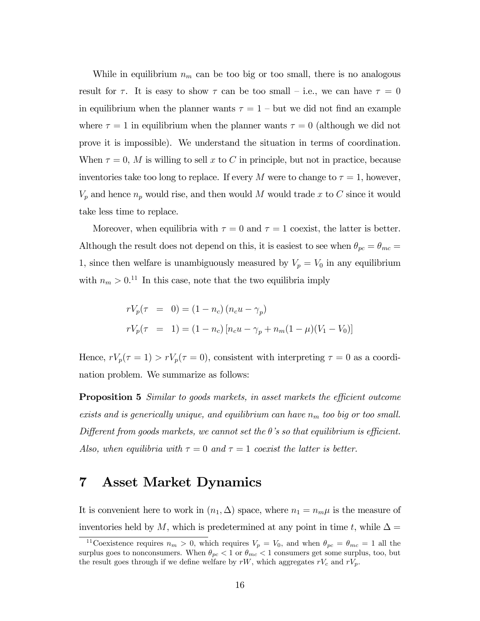While in equilibrium  $n_m$  can be too big or too small, there is no analogous result for  $\tau$ . It is easy to show  $\tau$  can be too small – i.e., we can have  $\tau = 0$ in equilibrium when the planner wants  $\tau = 1$  – but we did not find an example where  $\tau = 1$  in equilibrium when the planner wants  $\tau = 0$  (although we did not prove it is impossible). We understand the situation in terms of coordination. When  $\tau = 0$ , M is willing to sell x to C in principle, but not in practice, because inventories take too long to replace. If every M were to change to  $\tau = 1$ , however,  $V_p$  and hence  $n_p$  would rise, and then would M would trade x to C since it would take less time to replace.

Moreover, when equilibria with  $\tau = 0$  and  $\tau = 1$  coexist, the latter is better. Although the result does not depend on this, it is easiest to see when  $\theta_{pc} = \theta_{mc} =$ 1, since then welfare is unambiguously measured by  $V_p = V_0$  in any equilibrium with  $n_m > 0$ <sup>11</sup> In this case, note that the two equilibria imply

$$
rV_p(\tau = 0) = (1 - n_c) (n_c u - \gamma_p)
$$
  

$$
rV_p(\tau = 1) = (1 - n_c) [n_c u - \gamma_p + n_m (1 - \mu)(V_1 - V_0)]
$$

Hence,  $rV_p(\tau = 1) > rV_p(\tau = 0)$ , consistent with interpreting  $\tau = 0$  as a coordination problem. We summarize as follows:

Proposition 5 Similar to goods markets, in asset markets the efficient outcome exists and is generically unique, and equilibrium can have  $n_m$  too big or too small. Different from goods markets, we cannot set the  $\theta$ 's so that equilibrium is efficient. Also, when equilibria with  $\tau = 0$  and  $\tau = 1$  coexist the latter is better.

## 7 Asset Market Dynamics

It is convenient here to work in  $(n_1, \Delta)$  space, where  $n_1 = n_m \mu$  is the measure of inventories held by M, which is predetermined at any point in time t, while  $\Delta =$ 

<sup>&</sup>lt;sup>11</sup>Coexistence requires  $n_m > 0$ , which requires  $V_p = V_0$ , and when  $\theta_{pc} = \theta_{mc} = 1$  all the surplus goes to nonconsumers. When  $\theta_{pc} < 1$  or  $\theta_{mc} < 1$  consumers get some surplus, too, but the result goes through if we define welfare by  $rW$ , which aggregates  $rV_c$  and  $rV_p$ .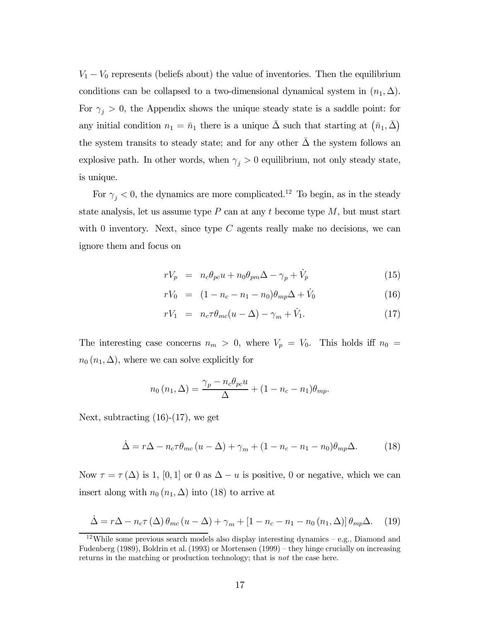$V_1 - V_0$  represents (beliefs about) the value of inventories. Then the equilibrium conditions can be collapsed to a two-dimensional dynamical system in  $(n_1, \Delta)$ . For  $\gamma_j > 0$ , the Appendix shows the unique steady state is a saddle point: for any initial condition  $n_1 = \bar{n}_1$  there is a unique  $\bar{\Delta}$  such that starting at  $(\bar{n}_1, \bar{\Delta})$ the system transits to steady state; and for any other  $\Delta$  the system follows an explosive path. In other words, when  $\gamma_j > 0$  equilibrium, not only steady state, is unique.

For  $\gamma_j < 0$ , the dynamics are more complicated.<sup>12</sup> To begin, as in the steady state analysis, let us assume type  $P$  can at any  $t$  become type  $M$ , but must start with 0 inventory. Next, since type  $C$  agents really make no decisions, we can ignore them and focus on

$$
rV_p = n_c\theta_{pc}u + n_0\theta_{pm}\Delta - \gamma_p + \dot{V}_p \tag{15}
$$

$$
rV_0 = (1 - n_c - n_1 - n_0)\theta_{mp}\Delta + \dot{V}_0 \tag{16}
$$

$$
rV_1 = n_c \tau \theta_{mc}(u - \Delta) - \gamma_m + \dot{V}_1. \tag{17}
$$

The interesting case concerns  $n_m > 0$ , where  $V_p = V_0$ . This holds iff  $n_0 =$  $n_0$   $(n_1, \Delta)$ , where we can solve explicitly for

$$
n_0(n_1, \Delta) = \frac{\gamma_p - n_c \theta_{pc} u}{\Delta} + (1 - n_c - n_1) \theta_{mp}.
$$

Next, subtracting (16)-(17), we get

$$
\dot{\Delta} = r\Delta - n_c \tau \theta_{mc} (u - \Delta) + \gamma_m + (1 - n_c - n_1 - n_0) \theta_{mp} \Delta.
$$
 (18)

Now  $\tau = \tau(\Delta)$  is 1, [0, 1] or 0 as  $\Delta - u$  is positive, 0 or negative, which we can insert along with  $n_0 (n_1, \Delta)$  into (18) to arrive at

$$
\dot{\Delta} = r\Delta - n_c \tau (\Delta) \theta_{mc} (u - \Delta) + \gamma_m + [1 - n_c - n_1 - n_0 (n_1, \Delta)] \theta_{mp} \Delta. \tag{19}
$$

<sup>&</sup>lt;sup>12</sup>While some previous search models also display interesting dynamics – e.g., Diamond and Fudenberg (1989), Boldrin et al. (1993) or Mortensen (1999) — they hinge crucially on increasing returns in the matching or production technology; that is not the case here.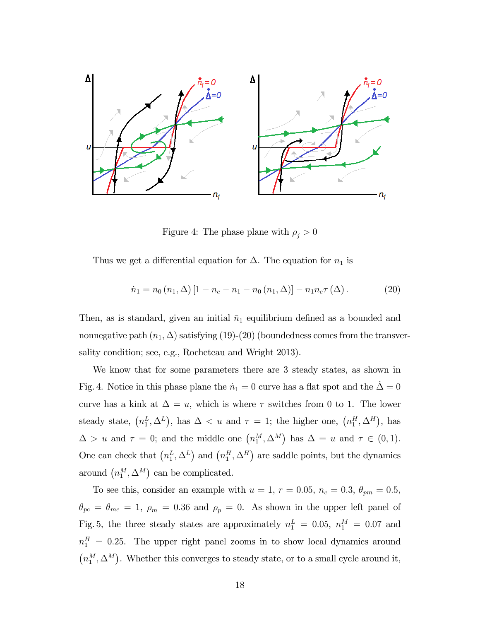

Figure 4: The phase plane with  $\rho_j > 0$ 

Thus we get a differential equation for  $\Delta$ . The equation for  $n_1$  is

$$
\dot{n}_1 = n_0 (n_1, \Delta) [1 - n_c - n_1 - n_0 (n_1, \Delta)] - n_1 n_c \tau (\Delta).
$$
 (20)

Then, as is standard, given an initial  $\bar{n}_1$  equilibrium defined as a bounded and nonnegative path  $(n_1, \Delta)$  satisfying (19)-(20) (boundedness comes from the transversality condition; see, e.g., Rocheteau and Wright 2013).

We know that for some parameters there are 3 steady states, as shown in Fig. 4. Notice in this phase plane the  $\dot{n}_1 = 0$  curve has a flat spot and the  $\dot{\Delta} = 0$ curve has a kink at  $\Delta = u$ , which is where  $\tau$  switches from 0 to 1. The lower steady state,  $(n_1^L, \Delta^L)$ , has  $\Delta < u$  and  $\tau = 1$ ; the higher one,  $(n_1^H, \Delta^H)$ , has  $\Delta > u$  and  $\tau = 0$ ; and the middle one  $(n_1^M, \Delta^M)$  has  $\Delta = u$  and  $\tau \in (0, 1)$ . One can check that  $(n_1^L, \Delta^L)$  and  $(n_1^H, \Delta^H)$  are saddle points, but the dynamics around  $\left(n_1^M, \Delta^M\right)$  can be complicated.

To see this, consider an example with  $u = 1$ ,  $r = 0.05$ ,  $n_c = 0.3$ ,  $\theta_{pm} = 0.5$ ,  $\theta_{pc} = \theta_{mc} = 1$ ,  $\rho_m = 0.36$  and  $\rho_p = 0$ . As shown in the upper left panel of Fig. 5, the three steady states are approximately  $n_1^L = 0.05$ ,  $n_1^M = 0.07$  and  $n_1^H = 0.25$ . The upper right panel zooms in to show local dynamics around  $\left(n_1^M,\Delta^M\right)$ . Whether this converges to steady state, or to a small cycle around it,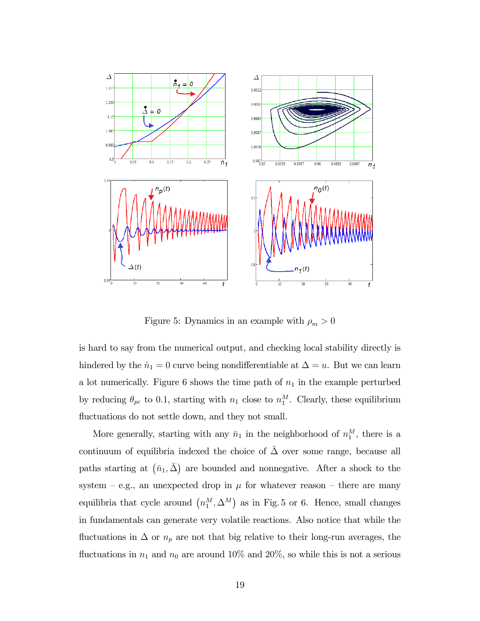

Figure 5: Dynamics in an example with  $\rho_m > 0$ 

is hard to say from the numerical output, and checking local stability directly is hindered by the  $\dot{n}_1 = 0$  curve being nondifferentiable at  $\Delta = u$ . But we can learn a lot numerically. Figure 6 shows the time path of  $n_1$  in the example perturbed by reducing  $\theta_{pc}$  to 0.1, starting with  $n_1$  close to  $n_1^M$ . Clearly, these equilibrium fluctuations do not settle down, and they not small.

More generally, starting with any  $\bar{n}_1$  in the neighborhood of  $n_1^M$ , there is a continuum of equilibria indexed the choice of  $\bar{\Delta}$  over some range, because all paths starting at  $(\bar{n}_1, \bar{\Delta})$  are bounded and nonnegative. After a shock to the system – e.g., an unexpected drop in  $\mu$  for whatever reason – there are many equilibria that cycle around  $(n_1^M, \Delta^M)$  as in Fig. 5 or 6. Hence, small changes in fundamentals can generate very volatile reactions. Also notice that while the fluctuations in  $\Delta$  or  $n_p$  are not that big relative to their long-run averages, the fluctuations in  $n_1$  and  $n_0$  are around 10% and 20%, so while this is not a serious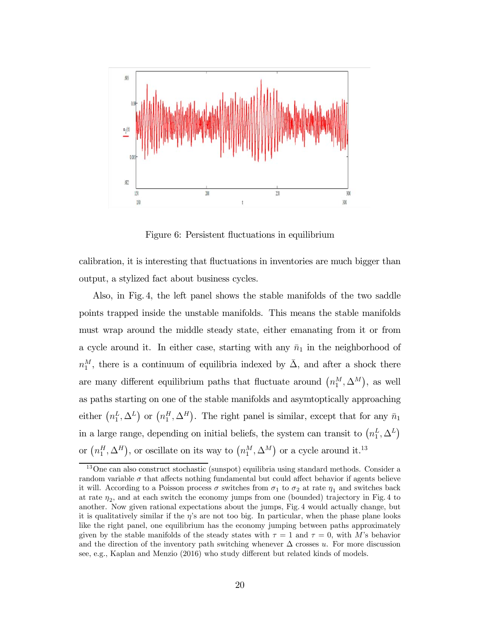

Figure 6: Persistent fluctuations in equilibrium

calibration, it is interesting that fluctuations in inventories are much bigger than output, a stylized fact about business cycles.

Also, in Fig. 4, the left panel shows the stable manifolds of the two saddle points trapped inside the unstable manifolds. This means the stable manifolds must wrap around the middle steady state, either emanating from it or from a cycle around it. In either case, starting with any  $\bar{n}_1$  in the neighborhood of  $n_1^M$ , there is a continuum of equilibria indexed by  $\bar{\Delta}$ , and after a shock there are many different equilibrium paths that fluctuate around  $(n_1^M, \Delta^M)$ , as well as paths starting on one of the stable manifolds and asymtoptically approaching either  $(n_1^L, \Delta^L)$  or  $(n_1^H, \Delta^H)$ . The right panel is similar, except that for any  $\bar{n}_1$ in a large range, depending on initial beliefs, the system can transit to  $\left(n_1^L, \Delta^L\right)$ or  $\left(n_1^H, \Delta^H\right)$ , or oscillate on its way to  $\left(n_1^M, \Delta^M\right)$  or a cycle around it.<sup>13</sup>

<sup>13</sup>One can also construct stochastic (sunspot) equilibria using standard methods. Consider a random variable  $\sigma$  that affects nothing fundamental but could affect behavior if agents believe it will. According to a Poisson process  $\sigma$  switches from  $\sigma_1$  to  $\sigma_2$  at rate  $\eta_1$  and switches back at rate  $\eta_2$ , and at each switch the economy jumps from one (bounded) trajectory in Fig. 4 to another. Now given rational expectations about the jumps, Fig. 4 would actually change, but it is qualitatively similar if the  $\eta$ 's are not too big. In particular, when the phase plane looks like the right panel, one equilibrium has the economy jumping between paths approximately given by the stable manifolds of the steady states with  $\tau = 1$  and  $\tau = 0$ , with M's behavior and the direction of the inventory path switching whenever  $\Delta$  crosses u. For more discussion see, e.g., Kaplan and Menzio (2016) who study different but related kinds of models.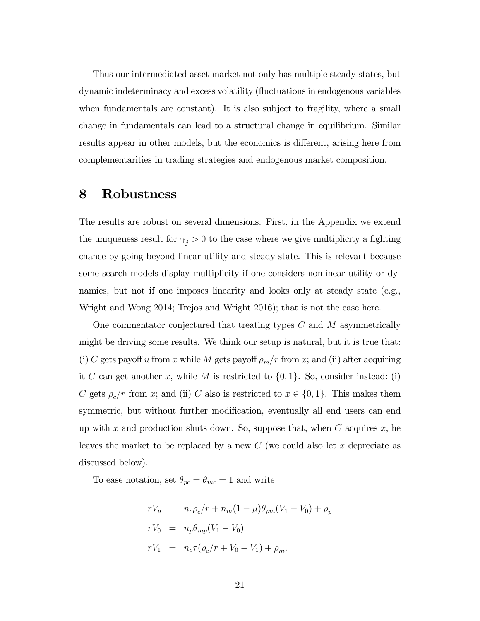Thus our intermediated asset market not only has multiple steady states, but dynamic indeterminacy and excess volatility (fluctuations in endogenous variables when fundamentals are constant). It is also subject to fragility, where a small change in fundamentals can lead to a structural change in equilibrium. Similar results appear in other models, but the economics is different, arising here from complementarities in trading strategies and endogenous market composition.

## 8 Robustness

The results are robust on several dimensions. First, in the Appendix we extend the uniqueness result for  $\gamma_j > 0$  to the case where we give multiplicity a fighting chance by going beyond linear utility and steady state. This is relevant because some search models display multiplicity if one considers nonlinear utility or dynamics, but not if one imposes linearity and looks only at steady state (e.g., Wright and Wong 2014; Trejos and Wright 2016); that is not the case here.

One commentator conjectured that treating types  $C$  and  $M$  asymmetrically might be driving some results. We think our setup is natural, but it is true that: (i) C gets payoff u from x while M gets payoff  $\rho_m/r$  from x; and (ii) after acquiring it C can get another x, while M is restricted to  $\{0,1\}$ . So, consider instead: (i) C gets  $\rho_c/r$  from x; and (ii) C also is restricted to  $x \in \{0, 1\}$ . This makes them symmetric, but without further modification, eventually all end users can end up with x and production shuts down. So, suppose that, when  $C$  acquires  $x$ , he leaves the market to be replaced by a new  $C$  (we could also let  $x$  depreciate as discussed below).

To ease notation, set  $\theta_{pc} = \theta_{mc} = 1$  and write

$$
rV_p = n_c \rho_c / r + n_m (1 - \mu) \theta_{pm} (V_1 - V_0) + \rho_p
$$
  
\n
$$
rV_0 = n_p \theta_{mp} (V_1 - V_0)
$$
  
\n
$$
rV_1 = n_c \tau (\rho_c / r + V_0 - V_1) + \rho_m.
$$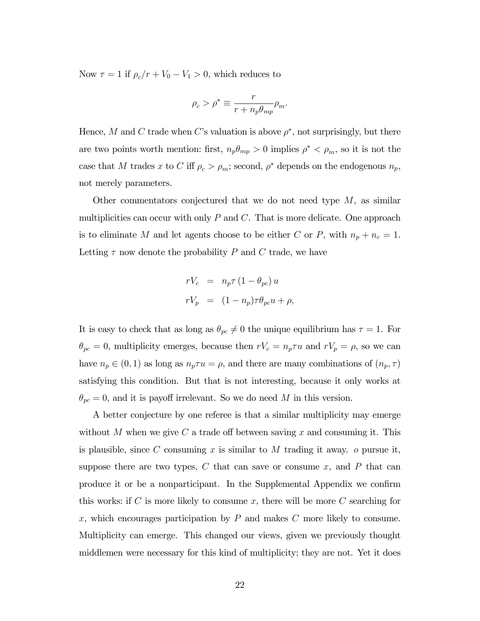Now  $\tau = 1$  if  $\rho_c/r + V_0 - V_1 > 0$ , which reduces to

$$
\rho_c > \rho^* \equiv \frac{r}{r + n_p \theta_{mp}} \rho_m.
$$

Hence, M and C trade when C's valuation is above  $\rho^*$ , not surprisingly, but there are two points worth mention: first,  $n_p \theta_{mp} > 0$  implies  $\rho^* < \rho_m$ , so it is not the case that M trades x to C iff  $\rho_c > \rho_m$ ; second,  $\rho^*$  depends on the endogenous  $n_p$ , not merely parameters.

Other commentators conjectured that we do not need type  $M$ , as similar multiplicities can occur with only  $P$  and  $C$ . That is more delicate. One approach is to eliminate M and let agents choose to be either C or P, with  $n_p + n_c = 1$ . Letting  $\tau$  now denote the probability P and C trade, we have

$$
rV_c = n_p \tau (1 - \theta_{pc}) u
$$
  

$$
rV_p = (1 - n_p) \tau \theta_{pc} u + \rho,
$$

It is easy to check that as long as  $\theta_{pc} \neq 0$  the unique equilibrium has  $\tau = 1$ . For  $\theta_{pc} = 0$ , multiplicity emerges, because then  $rV_c = n_p \tau u$  and  $rV_p = \rho$ , so we can have  $n_p \in (0,1)$  as long as  $n_p \tau u = \rho$ , and there are many combinations of  $(n_p, \tau)$ satisfying this condition. But that is not interesting, because it only works at  $\theta_{pc} = 0$ , and it is payoff irrelevant. So we do need M in this version.

A better conjecture by one referee is that a similar multiplicity may emerge without M when we give C a trade off between saving x and consuming it. This is plausible, since  $C$  consuming  $x$  is similar to  $M$  trading it away.  $o$  pursue it, suppose there are two types,  $C$  that can save or consume  $x$ , and  $P$  that can produce it or be a nonparticipant. In the Supplemental Appendix we confirm this works: if  $C$  is more likely to consume  $x$ , there will be more  $C$  searching for x, which encourages participation by  $P$  and makes  $C$  more likely to consume. Multiplicity can emerge. This changed our views, given we previously thought middlemen were necessary for this kind of multiplicity; they are not. Yet it does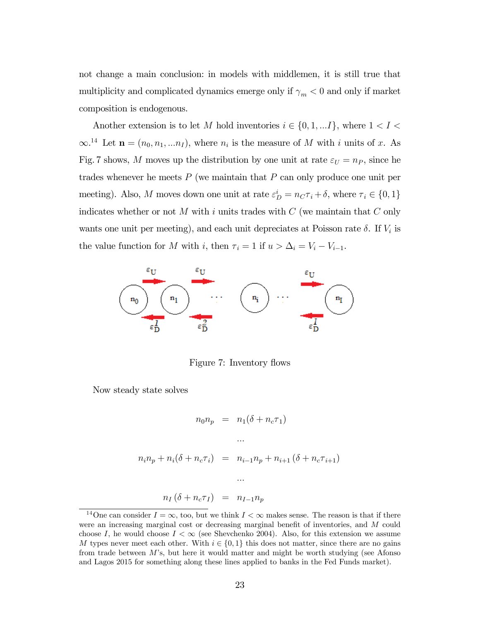not change a main conclusion: in models with middlemen, it is still true that multiplicity and complicated dynamics emerge only if  $\gamma_m < 0$  and only if market composition is endogenous.

Another extension is to let M hold inventories  $i \in \{0, 1, \ldots I\}$ , where  $1 < I <$  $\infty$ <sup>14</sup> Let  $\mathbf{n} = (n_0, n_1, ... n_I)$ , where  $n_i$  is the measure of M with i units of x. As Fig. 7 shows, M moves up the distribution by one unit at rate  $\varepsilon_U = n_P$ , since he trades whenever he meets  $P$  (we maintain that  $P$  can only produce one unit per meeting). Also, M moves down one unit at rate  $\varepsilon_D^i = n_C \tau_i + \delta$ , where  $\tau_i \in \{0, 1\}$ indicates whether or not  $M$  with  $i$  units trades with  $C$  (we maintain that  $C$  only wants one unit per meeting), and each unit depreciates at Poisson rate  $\delta$ . If  $V_i$  is the value function for M with i, then  $\tau_i = 1$  if  $u > \Delta_i = V_i - V_{i-1}$ .



Figure 7: Inventory flows

Now steady state solves

$$
n_0 n_p = n_1(\delta + n_c \tau_1)
$$
  
\n...  
\n
$$
n_i n_p + n_i(\delta + n_c \tau_i) = n_{i-1} n_p + n_{i+1} (\delta + n_c \tau_{i+1})
$$
  
\n...  
\n
$$
n_I (\delta + n_c \tau_I) = n_{I-1} n_p
$$

<sup>&</sup>lt;sup>14</sup>One can consider  $I = \infty$ , too, but we think  $I < \infty$  makes sense. The reason is that if there were an increasing marginal cost or decreasing marginal benefit of inventories, and  $M$  could choose I, he would choose  $I < \infty$  (see Shevchenko 2004). Also, for this extension we assume M types never meet each other. With  $i \in \{0,1\}$  this does not matter, since there are no gains from trade between  $M$ 's, but here it would matter and might be worth studying (see Afonso and Lagos 2015 for something along these lines applied to banks in the Fed Funds market).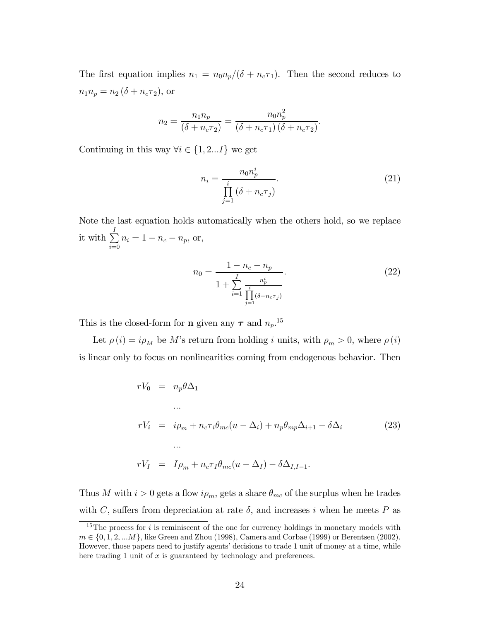The first equation implies  $n_1 = n_0 n_p/(\delta + n_c \tau_1)$ . Then the second reduces to  $n_1 n_p = n_2 (\delta + n_c \tau_2),$  or

$$
n_2 = \frac{n_1 n_p}{\left(\delta + n_c \tau_2\right)} = \frac{n_0 n_p^2}{\left(\delta + n_c \tau_1\right) \left(\delta + n_c \tau_2\right)}.
$$

Continuing in this way  $\forall i \in \{1, 2...I\}$  we get

$$
n_i = \frac{n_0 n_p^i}{\prod_{j=1}^i (\delta + n_c \tau_j)}.
$$
\n(21)

Note the last equation holds automatically when the others hold, so we replace it with  $\sum^I$  $\sum_{i=0} n_i = 1 - n_c - n_p$ , or,

$$
n_0 = \frac{1 - n_c - n_p}{1 + \sum_{i=1}^{I} \frac{n_p^i}{\prod_{j=1}^{i} (\delta + n_c \tau_j)}}.
$$
\n(22)

This is the closed-form for **n** given any  $\tau$  and  $n_p$ .<sup>15</sup>

Let  $\rho(i) = i \rho_M$  be M's return from holding *i* units, with  $\rho_m > 0$ , where  $\rho(i)$ is linear only to focus on nonlinearities coming from endogenous behavior. Then

$$
rV_0 = n_p \theta \Delta_1
$$
  
\n...  
\n
$$
rV_i = i\rho_m + n_c \tau_i \theta_{mc} (u - \Delta_i) + n_p \theta_{mp} \Delta_{i+1} - \delta \Delta_i
$$
  
\n...  
\n
$$
rV_I = I\rho_m + n_c \tau_I \theta_{mc} (u - \Delta_I) - \delta \Delta_{I,I-1}.
$$
\n(23)

Thus M with  $i > 0$  gets a flow  $i\rho_m$ , gets a share  $\theta_{mc}$  of the surplus when he trades with C, suffers from depreciation at rate  $\delta$ , and increases *i* when he meets P as

<sup>&</sup>lt;sup>15</sup>The process for  $i$  is reminiscent of the one for currency holdings in monetary models with  $m \in \{0, 1, 2, \ldots M\}$ , like Green and Zhou (1998), Camera and Corbae (1999) or Berentsen (2002). However, those papers need to justify agents' decisions to trade 1 unit of money at a time, while here trading 1 unit of  $x$  is guaranteed by technology and preferences.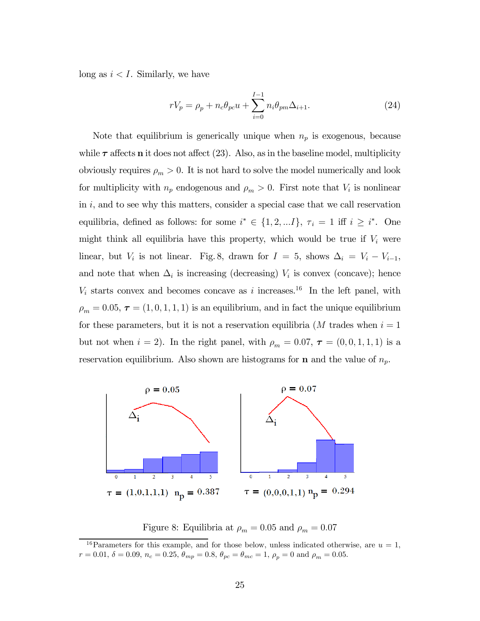long as  $i < I$ . Similarly, we have

$$
rV_p = \rho_p + n_c \theta_{pc} u + \sum_{i=0}^{I-1} n_i \theta_{pm} \Delta_{i+1}.
$$
 (24)

Note that equilibrium is generically unique when  $n_p$  is exogenous, because while  $\tau$  affects **n** it does not affect (23). Also, as in the baseline model, multiplicity obviously requires  $\rho_m > 0$ . It is not hard to solve the model numerically and look for multiplicity with  $n_p$  endogenous and  $\rho_m > 0$ . First note that  $V_i$  is nonlinear in  $i$ , and to see why this matters, consider a special case that we call reservation equilibria, defined as follows: for some  $i^* \in \{1, 2, \ldots I\}$ ,  $\tau_i = 1$  iff  $i \geq i^*$ . One might think all equilibria have this property, which would be true if  $V_i$  were linear, but  $V_i$  is not linear. Fig. 8, drawn for  $I = 5$ , shows  $\Delta_i = V_i - V_{i-1}$ , and note that when  $\Delta_i$  is increasing (decreasing)  $V_i$  is convex (concave); hence  $V_i$  starts convex and becomes concave as *i* increases.<sup>16</sup> In the left panel, with  $\rho_m = 0.05$ ,  $\tau = (1, 0, 1, 1, 1)$  is an equilibrium, and in fact the unique equilibrium for these parameters, but it is not a reservation equilibria (M trades when  $i = 1$ ) but not when  $i = 2$ ). In the right panel, with  $\rho_m = 0.07$ ,  $\tau = (0, 0, 1, 1, 1)$  is a reservation equilibrium. Also shown are histograms for **n** and the value of  $n_p$ .



Figure 8: Equilibria at  $\rho_m = 0.05$  and  $\rho_m = 0.07$ 

<sup>&</sup>lt;sup>16</sup>Parameters for this example, and for those below, unless indicated otherwise, are  $u = 1$ ,  $r = 0.01, \delta = 0.09, n_c = 0.25, \theta_{mp} = 0.8, \theta_{pc} = \theta_{mc} = 1, \rho_p = 0$  and  $\rho_m = 0.05$ .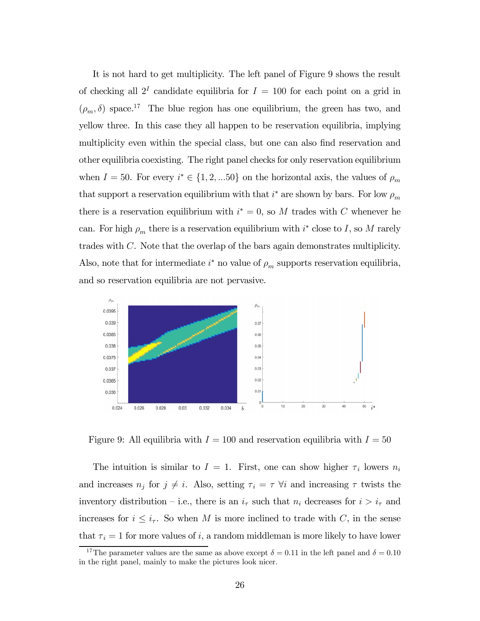It is not hard to get multiplicity. The left panel of Figure 9 shows the result of checking all  $2^I$  candidate equilibria for  $I = 100$  for each point on a grid in  $(\rho_m, \delta)$  space.<sup>17</sup> The blue region has one equilibrium, the green has two, and yellow three. In this case they all happen to be reservation equilibria, implying multiplicity even within the special class, but one can also find reservation and other equilibria coexisting. The right panel checks for only reservation equilibrium when  $I = 50$ . For every  $i^* \in \{1, 2, ... 50\}$  on the horizontal axis, the values of  $\rho_m$ that support a reservation equilibrium with that  $i^*$  are shown by bars. For low  $\rho_m$ there is a reservation equilibrium with  $i^* = 0$ , so M trades with C whenever he can. For high  $\rho_m$  there is a reservation equilibrium with  $i^*$  close to I, so M rarely trades with  $C$ . Note that the overlap of the bars again demonstrates multiplicity. Also, note that for intermediate  $i^*$  no value of  $\rho_m$  supports reservation equilibria, and so reservation equilibria are not pervasive.



Figure 9: All equilibria with  $I = 100$  and reservation equilibria with  $I = 50$ 

The intuition is similar to  $I = 1$ . First, one can show higher  $\tau_i$  lowers  $n_i$ and increases  $n_j$  for  $j \neq i$ . Also, setting  $\tau_i = \tau$   $\forall i$  and increasing  $\tau$  twists the inventory distribution – i.e., there is an  $i<sub>\tau</sub>$  such that  $n<sub>i</sub>$  decreases for  $i > i<sub>\tau</sub>$  and increases for  $i \leq i_{\tau}$ . So when M is more inclined to trade with C, in the sense that  $\tau_i = 1$  for more values of i, a random middleman is more likely to have lower

<sup>&</sup>lt;sup>17</sup>The parameter values are the same as above except  $\delta = 0.11$  in the left panel and  $\delta = 0.10$ in the right panel, mainly to make the pictures look nicer.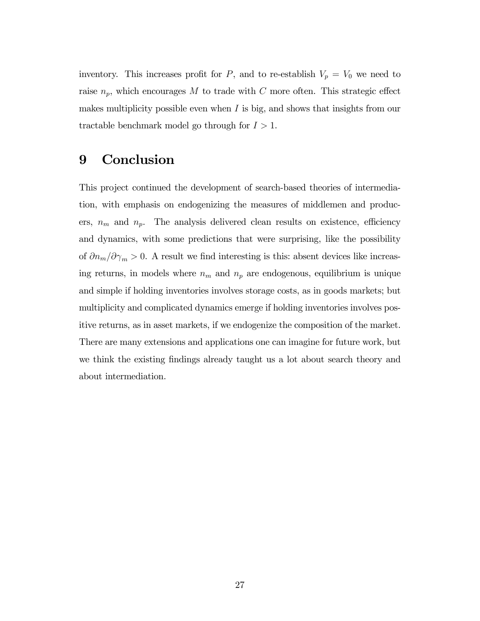inventory. This increases profit for P, and to re-establish  $V_p = V_0$  we need to raise  $n_p$ , which encourages M to trade with C more often. This strategic effect makes multiplicity possible even when  $I$  is big, and shows that insights from our tractable benchmark model go through for  $I > 1$ .

## 9 Conclusion

This project continued the development of search-based theories of intermediation, with emphasis on endogenizing the measures of middlemen and producers,  $n_m$  and  $n_p$ . The analysis delivered clean results on existence, efficiency and dynamics, with some predictions that were surprising, like the possibility of  $\partial n_m / \partial \gamma_m > 0$ . A result we find interesting is this: absent devices like increasing returns, in models where  $n_m$  and  $n_p$  are endogenous, equilibrium is unique and simple if holding inventories involves storage costs, as in goods markets; but multiplicity and complicated dynamics emerge if holding inventories involves positive returns, as in asset markets, if we endogenize the composition of the market. There are many extensions and applications one can imagine for future work, but we think the existing findings already taught us a lot about search theory and about intermediation.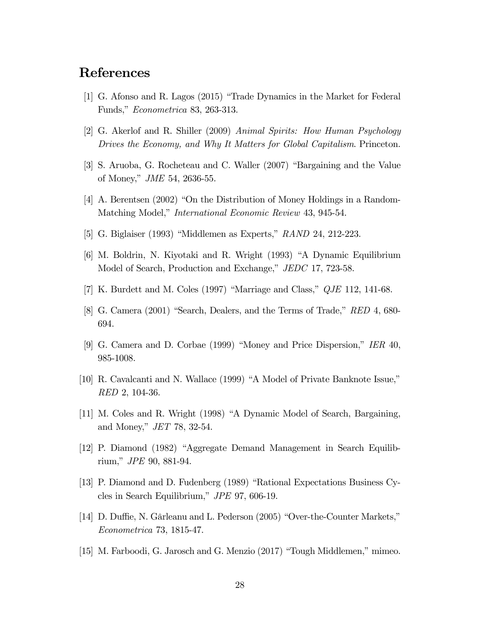## References

- [1] G. Afonso and R. Lagos (2015) "Trade Dynamics in the Market for Federal Funds," Econometrica 83, 263-313.
- [2] G. Akerlof and R. Shiller (2009) Animal Spirits: How Human Psychology Drives the Economy, and Why It Matters for Global Capitalism. Princeton.
- [3] S. Aruoba, G. Rocheteau and C. Waller (2007) "Bargaining and the Value of Money," JME 54, 2636-55.
- [4] A. Berentsen (2002) "On the Distribution of Money Holdings in a Random-Matching Model," International Economic Review 43, 945-54.
- [5] G. Biglaiser (1993) "Middlemen as Experts," RAND 24, 212-223.
- [6] M. Boldrin, N. Kiyotaki and R. Wright (1993) "A Dynamic Equilibrium Model of Search, Production and Exchange," JEDC 17, 723-58.
- [7] K. Burdett and M. Coles (1997) "Marriage and Class," QJE 112, 141-68.
- [8] G. Camera (2001) "Search, Dealers, and the Terms of Trade," RED 4, 680- 694.
- [9] G. Camera and D. Corbae (1999) "Money and Price Dispersion," IER 40, 985-1008.
- [10] R. Cavalcanti and N. Wallace (1999) "A Model of Private Banknote Issue," RED 2, 104-36.
- [11] M. Coles and R. Wright (1998) "A Dynamic Model of Search, Bargaining, and Money," JET 78, 32-54.
- [12] P. Diamond (1982) "Aggregate Demand Management in Search Equilibrium," JPE 90, 881-94.
- [13] P. Diamond and D. Fudenberg (1989) "Rational Expectations Business Cycles in Search Equilibrium," JPE 97, 606-19.
- [14] D. Duffie, N. Gârleanu and L. Pederson (2005) "Over-the-Counter Markets," Econometrica 73, 1815-47.
- [15] M. Farboodi, G. Jarosch and G. Menzio (2017) "Tough Middlemen," mimeo.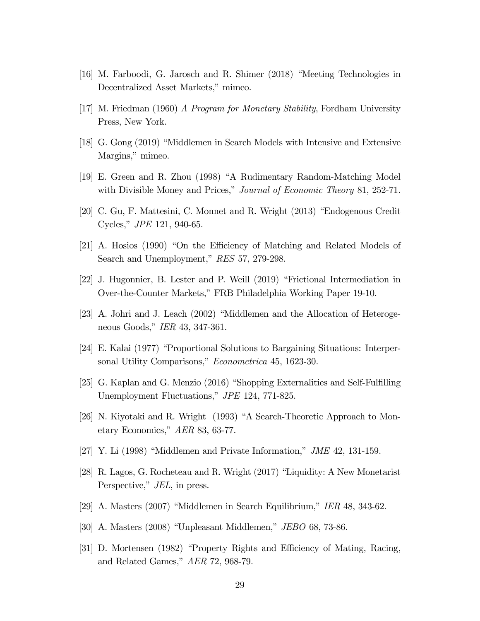- [16] M. Farboodi, G. Jarosch and R. Shimer (2018) "Meeting Technologies in Decentralized Asset Markets," mimeo.
- [17] M. Friedman (1960) A Program for Monetary Stability, Fordham University Press, New York.
- [18] G. Gong (2019) "Middlemen in Search Models with Intensive and Extensive Margins," mimeo.
- [19] E. Green and R. Zhou (1998) "A Rudimentary Random-Matching Model with Divisible Money and Prices," *Journal of Economic Theory* 81, 252-71.
- [20] C. Gu, F. Mattesini, C. Monnet and R. Wright (2013) "Endogenous Credit Cycles," JPE 121, 940-65.
- [21] A. Hosios (1990) "On the Efficiency of Matching and Related Models of Search and Unemployment," RES 57, 279-298.
- [22] J. Hugonnier, B. Lester and P. Weill (2019) "Frictional Intermediation in Over-the-Counter Markets," FRB Philadelphia Working Paper 19-10.
- [23] A. Johri and J. Leach (2002) "Middlemen and the Allocation of Heterogeneous Goods," IER 43, 347-361.
- [24] E. Kalai (1977) "Proportional Solutions to Bargaining Situations: Interpersonal Utility Comparisons," Econometrica 45, 1623-30.
- [25] G. Kaplan and G. Menzio (2016) "Shopping Externalities and Self-Fulfilling Unemployment Fluctuations," JPE 124, 771-825.
- [26] N. Kiyotaki and R. Wright (1993) "A Search-Theoretic Approach to Monetary Economics," AER 83, 63-77.
- $[27]$  Y. Li (1998) "Middlemen and Private Information," *JME* 42, 131-159.
- [28] R. Lagos, G. Rocheteau and R. Wright (2017) "Liquidity: A New Monetarist Perspective," *JEL*, in press.
- [29] A. Masters (2007) "Middlemen in Search Equilibrium," IER 48, 343-62.
- [30] A. Masters (2008) "Unpleasant Middlemen," JEBO 68, 73-86.
- [31] D. Mortensen (1982) "Property Rights and Efficiency of Mating, Racing, and Related Games," AER 72, 968-79.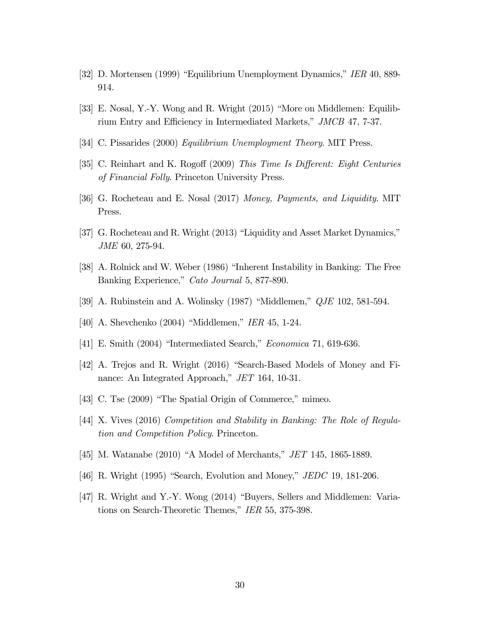- [32] D. Mortensen (1999) "Equilibrium Unemployment Dynamics," IER 40, 889- 914.
- [33] E. Nosal, Y.-Y. Wong and R. Wright (2015) "More on Middlemen: Equilibrium Entry and Efficiency in Intermediated Markets," JMCB 47, 7-37.
- [34] C. Pissarides (2000) Equilibrium Unemployment Theory. MIT Press.
- [35] C. Reinhart and K. Rogoff (2009) This Time Is Different: Eight Centuries of Financial Folly. Princeton University Press.
- [36] G. Rocheteau and E. Nosal (2017) Money, Payments, and Liquidity. MIT Press.
- [37] G. Rocheteau and R. Wright (2013) "Liquidity and Asset Market Dynamics," JME 60, 275-94.
- [38] A. Rolnick and W. Weber (1986) "Inherent Instability in Banking: The Free Banking Experience," Cato Journal 5, 877-890.
- [39] A. Rubinstein and A. Wolinsky (1987) "Middlemen," QJE 102, 581-594.
- [40] A. Shevchenko (2004) "Middlemen," IER 45, 1-24.
- [41] E. Smith (2004) "Intermediated Search," Economica 71, 619-636.
- [42] A. Trejos and R. Wright (2016) "Search-Based Models of Money and Finance: An Integrated Approach," JET 164, 10-31.
- [43] C. Tse (2009) "The Spatial Origin of Commerce," mimeo.
- [44] X. Vives (2016) Competition and Stability in Banking: The Role of Regulation and Competition Policy. Princeton.
- [45] M. Watanabe (2010) "A Model of Merchants," JET 145, 1865-1889.
- [46] R. Wright (1995) "Search, Evolution and Money," JEDC 19, 181-206.
- [47] R. Wright and Y.-Y. Wong (2014) "Buyers, Sellers and Middlemen: Variations on Search-Theoretic Themes," IER 55, 375-398.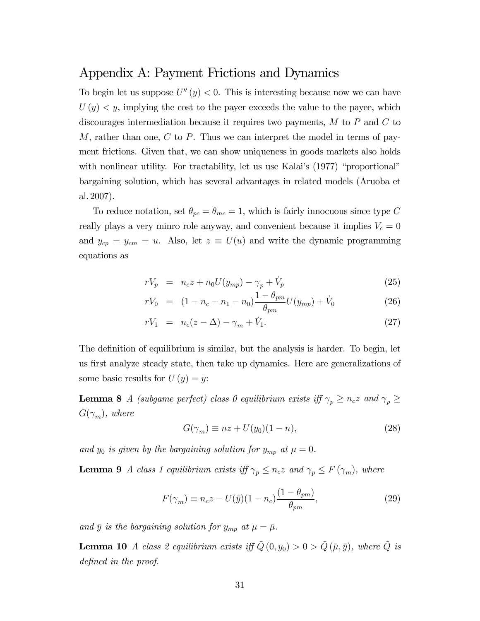#### Appendix A: Payment Frictions and Dynamics

To begin let us suppose  $U''(y) < 0$ . This is interesting because now we can have  $U(y) \leq y$ , implying the cost to the payer exceeds the value to the payee, which discourages intermediation because it requires two payments,  $M$  to  $P$  and  $C$  to M, rather than one,  $C$  to  $P$ . Thus we can interpret the model in terms of payment frictions. Given that, we can show uniqueness in goods markets also holds with nonlinear utility. For tractability, let us use Kalai's  $(1977)$  "proportional" bargaining solution, which has several advantages in related models (Aruoba et al. 2007).

To reduce notation, set  $\theta_{pc} = \theta_{mc} = 1$ , which is fairly innocuous since type C really plays a very minro role anyway, and convenient because it implies  $V_c = 0$ and  $y_{cp} = y_{cm} = u$ . Also, let  $z \equiv U(u)$  and write the dynamic programming equations as

$$
rV_p = n_c z + n_0 U(y_{mp}) - \gamma_p + V_p \tag{25}
$$

$$
rV_0 = (1 - n_c - n_1 - n_0) \frac{1 - \theta_{pm}}{\theta_{pm}} U(y_{mp}) + \dot{V}_0
$$
 (26)

$$
rV_1 = n_c(z - \Delta) - \gamma_m + \dot{V}_1.
$$
 (27)

The definition of equilibrium is similar, but the analysis is harder. To begin, let us first analyze steady state, then take up dynamics. Here are generalizations of some basic results for  $U(y) = y$ :

**Lemma 8** A (subgame perfect) class 0 equilibrium exists iff  $\gamma_p \geq n_c z$  and  $\gamma_p \geq$  $G(\gamma_m)$ , where

$$
G(\gamma_m) \equiv nz + U(y_0)(1 - n),\tag{28}
$$

and  $y_0$  is given by the bargaining solution for  $y_{mp}$  at  $\mu = 0$ .

**Lemma 9** A class 1 equilibrium exists iff  $\gamma_p \leq n_c z$  and  $\gamma_p \leq F(\gamma_m)$ , where

$$
F(\gamma_m) \equiv n_c z - U(\bar{y})(1 - n_c) \frac{(1 - \theta_{pm})}{\theta_{pm}},
$$
\n(29)

and  $\bar{y}$  is the bargaining solution for  $y_{mp}$  at  $\mu = \bar{\mu}$ .

**Lemma 10** A class 2 equilibrium exists iff  $\tilde{Q}(0, y_0) > 0 > \tilde{Q}(\bar{\mu}, \bar{y})$ , where  $\tilde{Q}$  is defined in the proof.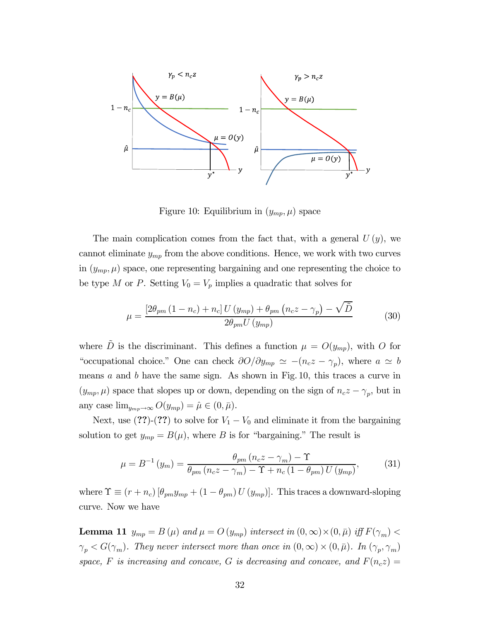

Figure 10: Equilibrium in  $(y_{mp}, \mu)$  space

The main complication comes from the fact that, with a general  $U(y)$ , we cannot eliminate  $y_{mp}$  from the above conditions. Hence, we work with two curves in  $(y_{mp}, \mu)$  space, one representing bargaining and one representing the choice to be type M or P. Setting  $V_0 = V_p$  implies a quadratic that solves for

$$
\mu = \frac{\left[2\theta_{pm}\left(1 - n_c\right) + n_c\right]U\left(y_{mp}\right) + \theta_{pm}\left(n_c z - \gamma_p\right) - \sqrt{\tilde{D}}}{2\theta_{pm}U\left(y_{mp}\right)}\tag{30}
$$

where  $\tilde{D}$  is the discriminant. This defines a function  $\mu = O(y_{mp})$ , with O for "occupational choice." One can check  $\partial O/\partial y_{mp} \simeq -(n_c z - \gamma_p)$ , where  $a \simeq b$ means  $a$  and  $b$  have the same sign. As shown in Fig. 10, this traces a curve in  $(y_{mp}, \mu)$  space that slopes up or down, depending on the sign of  $n_c z - \gamma_p$ , but in any case  $\lim_{y_{mp}\to\infty} O(y_{mp})=\hat{\mu}\in(0,\bar{\mu}).$ 

Next, use  $(??)-(??)$  to solve for  $V_1 - V_0$  and eliminate it from the bargaining solution to get  $y_{mp} = B(\mu)$ , where B is for "bargaining." The result is

$$
\mu = B^{-1} (y_m) = \frac{\theta_{pm} (n_c z - \gamma_m) - \Upsilon}{\theta_{pm} (n_c z - \gamma_m) - \Upsilon + n_c (1 - \theta_{pm}) U (y_{mp})},
$$
(31)

where  $\Upsilon \equiv (r + n_c) [\theta_{pm} y_{mp} + (1 - \theta_{pm}) U (y_{mp})]$ . This traces a downward-sloping curve. Now we have

**Lemma 11**  $y_{mp} = B(\mu)$  and  $\mu = O(y_{mp})$  intersect in  $(0, \infty) \times (0, \bar{\mu})$  iff  $F(\gamma_m)$  $\gamma_p < G(\gamma_m)$ . They never intersect more than once in  $(0,\infty) \times (0,\bar{\mu})$ . In  $(\gamma_p, \gamma_m)$ space, F is increasing and concave, G is decreasing and concave, and  $F(n_c z) =$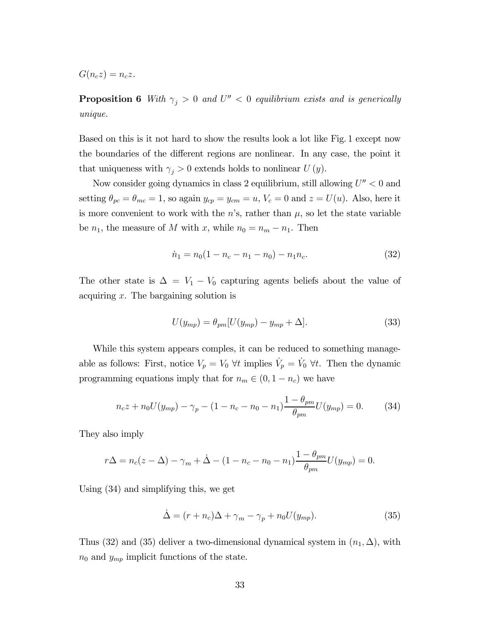$G(n_c z) = n_c z$ .

**Proposition 6** With  $\gamma_j > 0$  and  $U'' < 0$  equilibrium exists and is generically unique.

Based on this is it not hard to show the results look a lot like Fig. 1 except now the boundaries of the different regions are nonlinear. In any case, the point it that uniqueness with  $\gamma_j > 0$  extends holds to nonlinear  $U(y)$ .

Now consider going dynamics in class 2 equilibrium, still allowing  $U'' < 0$  and setting  $\theta_{pc} = \theta_{mc} = 1$ , so again  $y_{cp} = y_{cm} = u$ ,  $V_c = 0$  and  $z = U(u)$ . Also, here it is more convenient to work with the  $n$ 's, rather than  $\mu$ , so let the state variable be  $n_1$ , the measure of M with x, while  $n_0 = n_m - n_1$ . Then

$$
\dot{n}_1 = n_0(1 - n_c - n_1 - n_0) - n_1 n_c. \tag{32}
$$

The other state is  $\Delta = V_1 - V_0$  capturing agents beliefs about the value of acquiring  $x$ . The bargaining solution is

$$
U(y_{mp}) = \theta_{pm}[U(y_{mp}) - y_{mp} + \Delta]. \tag{33}
$$

While this system appears comples, it can be reduced to something manageable as follows: First, notice  $V_p = V_0 \ \forall t$  implies  $\dot{V}_p = \dot{V}_0 \ \forall t$ . Then the dynamic programming equations imply that for  $n_m \in (0, 1 - n_c)$  we have

$$
n_c z + n_0 U(y_{mp}) - \gamma_p - (1 - n_c - n_0 - n_1) \frac{1 - \theta_{pm}}{\theta_{pm}} U(y_{mp}) = 0.
$$
 (34)

They also imply

$$
r\Delta = n_c(z - \Delta) - \gamma_m + \dot{\Delta} - (1 - n_c - n_0 - n_1) \frac{1 - \theta_{pm}}{\theta_{pm}} U(y_{mp}) = 0.
$$

Using (34) and simplifying this, we get

$$
\dot{\Delta} = (r + n_c)\Delta + \gamma_m - \gamma_p + n_0 U(y_{mp}). \tag{35}
$$

Thus (32) and (35) deliver a two-dimensional dynamical system in  $(n_1, \Delta)$ , with  $n_0$  and  $y_{mp}$  implicit functions of the state.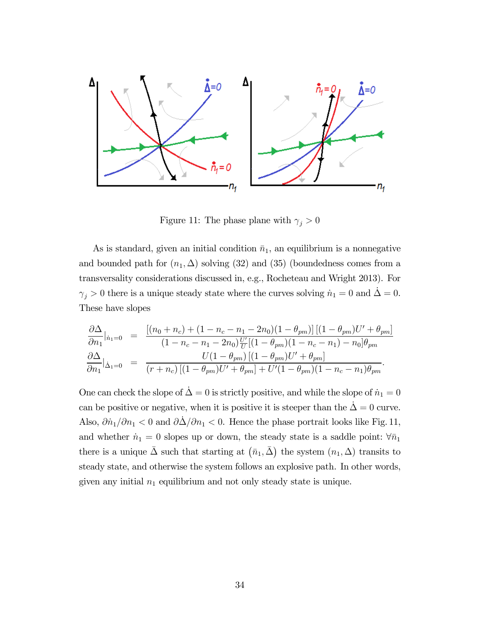

Figure 11: The phase plane with  $\gamma_j > 0$ 

As is standard, given an initial condition  $\bar{n}_1$ , an equilibrium is a nonnegative and bounded path for  $(n_1, \Delta)$  solving (32) and (35) (boundedness comes from a transversality considerations discussed in, e.g., Rocheteau and Wright 2013). For  $\gamma_j > 0$  there is a unique steady state where the curves solving  $\dot{n}_1 = 0$  and  $\dot{\Delta} = 0$ . These have slopes

$$
\frac{\partial \Delta}{\partial n_1}|_{\dot{n}_1=0} = \frac{\left[ (n_0 + n_c) + (1 - n_c - n_1 - 2n_0)(1 - \theta_{pm}) \right] \left[ (1 - \theta_{pm})U' + \theta_{pm} \right]}{(1 - n_c - n_1 - 2n_0) \frac{U'}{U} \left[ (1 - \theta_{pm})(1 - n_c - n_1) - n_0 \right] \theta_{pm}} \n\frac{\partial \Delta}{\partial n_1}|_{\dot{\Delta}_1=0} = \frac{U(1 - \theta_{pm}) \left[ (1 - \theta_{pm})U' + \theta_{pm} \right]}{(r + n_c) \left[ (1 - \theta_{pm})U' + \theta_{pm} \right] + U'(1 - \theta_{pm})(1 - n_c - n_1) \theta_{pm}}.
$$

One can check the slope of  $\dot{\Delta} = 0$  is strictly positive, and while the slope of  $\dot{n}_1 = 0$ can be positive or negative, when it is positive it is steeper than the  $\dot{\Delta} = 0$  curve. Also,  $\partial \dot{n}_1 / \partial n_1 < 0$  and  $\partial \dot{\Delta} / \partial n_1 < 0$ . Hence the phase portrait looks like Fig. 11, and whether  $\dot{n}_1 = 0$  slopes up or down, the steady state is a saddle point:  $\forall \bar{n}_1$ there is a unique  $\bar{\Delta}$  such that starting at  $(\bar{n}_1, \bar{\Delta})$  the system  $(n_1, \Delta)$  transits to steady state, and otherwise the system follows an explosive path. In other words, given any initial  $n_1$  equilibrium and not only steady state is unique.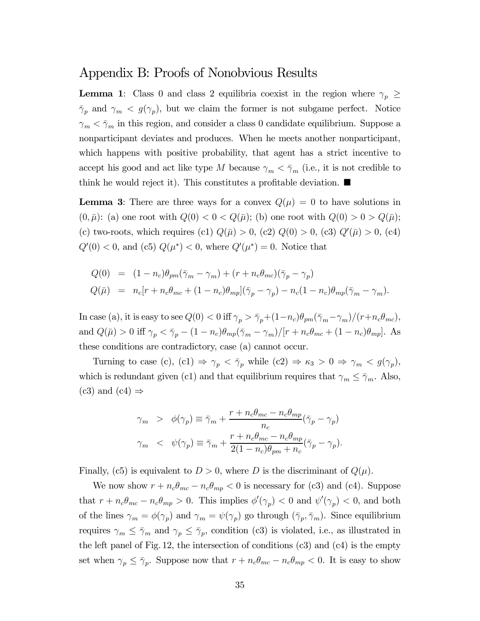#### Appendix B: Proofs of Nonobvious Results

**Lemma 1:** Class 0 and class 2 equilibria coexist in the region where  $\gamma_p \geq$  $\bar{\gamma}_p$  and  $\gamma_m < g(\gamma_p)$ , but we claim the former is not subgame perfect. Notice  $\gamma_m < \bar{\gamma}_m$  in this region, and consider a class 0 candidate equilibrium. Suppose a nonparticipant deviates and produces. When he meets another nonparticipant, which happens with positive probability, that agent has a strict incentive to accept his good and act like type M because  $\gamma_m < \bar{\gamma}_m$  (i.e., it is not credible to think he would reject it). This constitutes a profitable deviation.  $\blacksquare$ 

**Lemma 3:** There are three ways for a convex  $Q(\mu)=0$  to have solutions in  $(0, \bar{\mu})$ : (a) one root with  $Q(0) < 0 < Q(\bar{\mu})$ ; (b) one root with  $Q(0) > 0 > Q(\bar{\mu})$ ; (c) two-roots, which requires (c1)  $Q(\bar{\mu}) > 0$ , (c2)  $Q(0) > 0$ , (c3)  $Q'(\bar{\mu}) > 0$ , (c4)  $Q'(0) < 0$ , and (c5)  $Q(\mu^*) < 0$ , where  $Q'(\mu^*) = 0$ . Notice that

$$
Q(0) = (1 - n_c)\theta_{pm}(\bar{\gamma}_m - \gamma_m) + (r + n_c\theta_{mc})(\bar{\gamma}_p - \gamma_p)
$$
  
\n
$$
Q(\bar{\mu}) = n_c[r + n_c\theta_{mc} + (1 - n_c)\theta_{mp}](\bar{\gamma}_p - \gamma_p) - n_c(1 - n_c)\theta_{mp}(\bar{\gamma}_m - \gamma_m).
$$

In case (a), it is easy to see  $Q(0) < 0$  iff  $\gamma_p > \bar{\gamma}_p + (1-n_c)\theta_{pm}(\bar{\gamma}_m-\gamma_m)/(r+n_c\theta_{mc}),$ and  $Q(\bar{\mu}) > 0$  iff  $\gamma_p < \bar{\gamma}_p - (1 - n_c)\theta_{mp}(\bar{\gamma}_m - \gamma_m)/[r + n_c\theta_{mc} + (1 - n_c)\theta_{mp}]$ . As these conditions are contradictory, case (a) cannot occur.

Turning to case (c), (c1)  $\Rightarrow \gamma_p < \bar{\gamma}_p$  while (c2)  $\Rightarrow \kappa_3 > 0 \Rightarrow \gamma_m < g(\gamma_p)$ , which is redundant given (c1) and that equilibrium requires that  $\gamma_m \leq \bar{\gamma}_m$ . Also,  $(c3)$  and  $(c4) \Rightarrow$ 

$$
\gamma_m > \phi(\gamma_p) \equiv \bar{\gamma}_m + \frac{r + n_c \theta_{mc} - n_c \theta_{mp}}{n_c} (\bar{\gamma}_p - \gamma_p)
$$
  

$$
\gamma_m < \psi(\gamma_p) \equiv \bar{\gamma}_m + \frac{r + n_c \theta_{mc} - n_c \theta_{mp}}{2(1 - n_c)\theta_{pm} + n_c} (\bar{\gamma}_p - \gamma_p).
$$

Finally, (c5) is equivalent to  $D > 0$ , where D is the discriminant of  $Q(\mu)$ .

We now show  $r + n_c \theta_{mc} - n_c \theta_{mp} < 0$  is necessary for (c3) and (c4). Suppose that  $r + n_c \theta_{mc} - n_c \theta_{mp} > 0$ . This implies  $\phi'(\gamma_p) < 0$  and  $\psi'(\gamma_p) < 0$ , and both of the lines  $\gamma_m = \phi(\gamma_p)$  and  $\gamma_m = \psi(\gamma_p)$  go through  $(\bar{\gamma}_p, \bar{\gamma}_m)$ . Since equilibrium requires  $\gamma_m \leq \bar{\gamma}_m$  and  $\gamma_p \leq \bar{\gamma}_p$ , condition (c3) is violated, i.e., as illustrated in the left panel of Fig. 12, the intersection of conditions  $(c3)$  and  $(c4)$  is the empty set when  $\gamma_p \leq \bar{\gamma}_p$ . Suppose now that  $r + n_c \theta_{mc} - n_c \theta_{mp} < 0$ . It is easy to show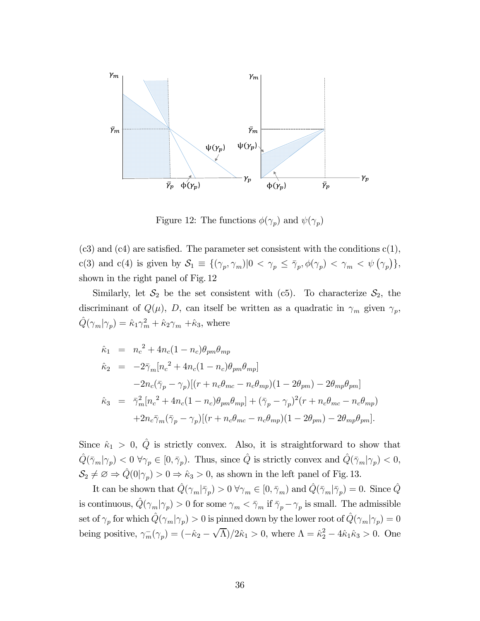

Figure 12: The functions  $\phi(\gamma_p)$  and  $\psi(\gamma_p)$ 

 $(c3)$  and  $(c4)$  are satisfied. The parameter set consistent with the conditions  $c(1)$ , c(3) and c(4) is given by  $S_1 \equiv \{(\gamma_p, \gamma_m) | 0 < \gamma_p \leq \overline{\gamma}_p, \phi(\gamma_p) < \gamma_m < \psi(\gamma_p)\},\$ shown in the right panel of Fig. 12

Similarly, let  $S_2$  be the set consistent with (c5). To characterize  $S_2$ , the discriminant of  $Q(\mu)$ ,  $D$ , can itself be written as a quadratic in  $\gamma_m$  given  $\gamma_p$ ,  $\hat{Q}(\gamma_m|\gamma_p)=\hat{\kappa}_1\gamma_m^2+\hat{\kappa}_2\gamma_m$  + $\hat{\kappa}_3$ , where

$$
\hat{\kappa}_1 = n_c^2 + 4n_c(1 - n_c)\theta_{pm}\theta_{mp} \n\hat{\kappa}_2 = -2\bar{\gamma}_m[n_c^2 + 4n_c(1 - n_c)\theta_{pm}\theta_{mp}] \n-2n_c(\bar{\gamma}_p - \gamma_p)[(r + n_c\theta_{mc} - n_c\theta_{mp})(1 - 2\theta_{pm}) - 2\theta_{mp}\theta_{pm}] \n\hat{\kappa}_3 = \bar{\gamma}_m^2[n_c^2 + 4n_c(1 - n_c)\theta_{pm}\theta_{mp}] + (\bar{\gamma}_p - \gamma_p)^2(r + n_c\theta_{mc} - n_c\theta_{mp}) \n+2n_c\bar{\gamma}_m(\bar{\gamma}_p - \gamma_p)[(r + n_c\theta_{mc} - n_c\theta_{mp})(1 - 2\theta_{pm}) - 2\theta_{mp}\theta_{pm}].
$$

Since  $\hat{\kappa}_1 > 0$ ,  $\hat{Q}$  is strictly convex. Also, it is straightforward to show that  $\hat{Q}(\bar{\gamma}_m|\gamma_p) < 0 \ \forall \gamma_p \in [0, \bar{\gamma}_p)$ . Thus, since  $\hat{Q}$  is strictly convex and  $\hat{Q}(\bar{\gamma}_m|\gamma_p) < 0$ ,  $\mathcal{S}_2 \neq \emptyset \Rightarrow \hat{Q}(0|\gamma_p) > 0 \Rightarrow \hat{\kappa}_3 > 0$ , as shown in the left panel of Fig. 13.

It can be shown that  $\hat{Q}(\gamma_m|\bar{\gamma}_p) > 0 \ \forall \gamma_m \in [0, \bar{\gamma}_m)$  and  $\hat{Q}(\bar{\gamma}_m|\bar{\gamma}_p) = 0$ . Since  $\hat{Q}$ is continuous,  $\hat{Q}(\gamma_m|\gamma_p) > 0$  for some  $\gamma_m < \bar{\gamma}_m$  if  $\bar{\gamma}_p - \gamma_p$  is small. The admissible set of  $\gamma_p$  for which  $\hat{Q}(\gamma_m|\gamma_p) > 0$  is pinned down by the lower root of  $\hat{Q}(\gamma_m|\gamma_p) = 0$ being positive,  $\gamma_m^-(\gamma_p) = (-\hat{\kappa}_2 - \sqrt{\Lambda})/2\hat{\kappa}_1 > 0$ , where  $\Lambda = \hat{\kappa}_2^2 - 4\hat{\kappa}_1\hat{\kappa}_3 > 0$ . One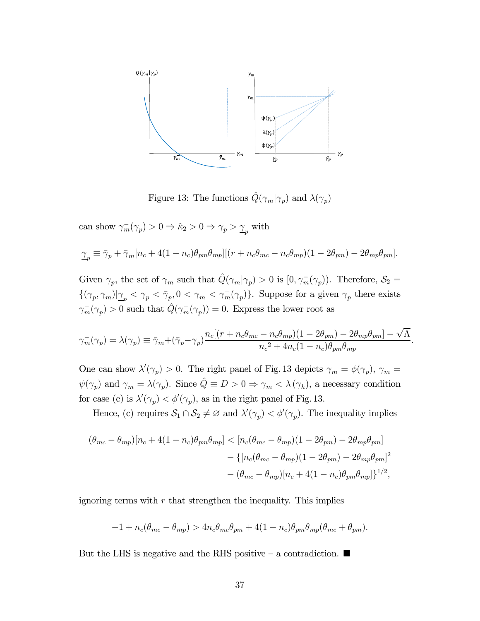

Figure 13: The functions  $\hat{Q}(\gamma_m|\gamma_p)$  and  $\lambda(\gamma_p)$ 

can show  $\gamma_m^-(\gamma_p) > 0 \Rightarrow \hat{\kappa}_2 > 0 \Rightarrow \gamma_p > \underline{\gamma}_p$  with

$$
\underline{\gamma}_p \equiv \bar{\gamma}_p + \bar{\gamma}_m [n_c + 4(1 - n_c)\theta_{pm}\theta_{mp}][(r + n_c\theta_{mc} - n_c\theta_{mp})(1 - 2\theta_{pm}) - 2\theta_{mp}\theta_{pm}].
$$

Given  $\gamma_p$ , the set of  $\gamma_m$  such that  $\hat{Q}(\gamma_m|\gamma_p) > 0$  is  $[0, \gamma_m^-(\gamma_p))$ . Therefore,  $\mathcal{S}_2 =$  $\{(\gamma_p, \gamma_m)|_{\underline{\gamma}_p} < \gamma_p < \bar{\gamma}_p, 0 < \gamma_m < \gamma_m^-(\gamma_p)\}.$  Suppose for a given  $\gamma_p$  there exists  $\gamma_m^-(\gamma_p) > 0$  such that  $\hat{Q}(\gamma_m^-(\gamma_p)) = 0$ . Express the lower root as

$$
\gamma_m^-(\gamma_p) = \lambda(\gamma_p) \equiv \bar{\gamma}_m + (\bar{\gamma}_p - \gamma_p) \frac{n_c[(r + n_c\theta_{mc} - n_c\theta_{mp})(1 - 2\theta_{pm}) - 2\theta_{mp}\theta_{pm}] - \sqrt{\Lambda}}{n_c^2 + 4n_c(1 - n_c)\theta_{pm}\theta_{mp}}.
$$

One can show  $\lambda'(\gamma_p) > 0$ . The right panel of Fig. 13 depicts  $\gamma_m = \phi(\gamma_p)$ ,  $\gamma_m =$  $\psi(\gamma_p)$  and  $\gamma_m = \lambda(\gamma_p)$ . Since  $\hat{Q} \equiv D > 0 \Rightarrow \gamma_m < \lambda(\gamma_h)$ , a necessary condition for case (c) is  $\lambda'(\gamma_p) < \phi'(\gamma_p)$ , as in the right panel of Fig. 13.

Hence, (c) requires  $S_1 \cap S_2 \neq \emptyset$  and  $\lambda'(\gamma_p) < \phi'(\gamma_p)$ . The inequality implies

$$
(\theta_{mc} - \theta_{mp})[n_c + 4(1 - n_c)\theta_{pm}\theta_{mp}] < [n_c(\theta_{mc} - \theta_{mp})(1 - 2\theta_{pm}) - 2\theta_{mp}\theta_{pm}]
$$
  

$$
- \{[n_c(\theta_{mc} - \theta_{mp})(1 - 2\theta_{pm}) - 2\theta_{mp}\theta_{pm}]^2
$$
  

$$
- (\theta_{mc} - \theta_{mp})[n_c + 4(1 - n_c)\theta_{pm}\theta_{mp}]^2\}^{1/2},
$$

ignoring terms with  $r$  that strengthen the inequality. This implies

$$
-1 + n_c(\theta_{mc} - \theta_{mp}) > 4n_c\theta_{mc}\theta_{pm} + 4(1 - n_c)\theta_{pm}\theta_{mp}(\theta_{mc} + \theta_{pm}).
$$

But the LHS is negative and the RHS positive – a contradiction.  $\blacksquare$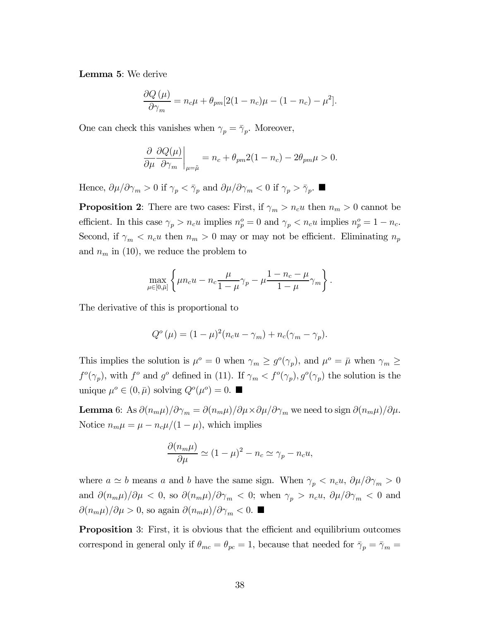Lemma 5: We derive

$$
\frac{\partial Q(\mu)}{\partial \gamma_m} = n_c \mu + \theta_{pm} [2(1 - n_c) \mu - (1 - n_c) - \mu^2].
$$

One can check this vanishes when  $\gamma_p = \bar{\gamma}_p$ . Moreover,

$$
\frac{\partial}{\partial \mu} \frac{\partial Q(\mu)}{\partial \gamma_m} \bigg|_{\mu = \tilde{\mu}} = n_c + \theta_{pm} 2(1 - n_c) - 2\theta_{pm} \mu > 0.
$$

Hence,  $\partial \mu / \partial \gamma_m > 0$  if  $\gamma_p < \bar{\gamma}_p$  and  $\partial \mu / \partial \gamma_m < 0$  if  $\gamma_p > \bar{\gamma}_p$ .

**Proposition 2:** There are two cases: First, if  $\gamma_m > n_c u$  then  $n_m > 0$  cannot be efficient. In this case  $\gamma_p > n_c u$  implies  $n_p^o = 0$  and  $\gamma_p < n_c u$  implies  $n_p^o = 1 - n_c$ . Second, if  $\gamma_m < n_c u$  then  $n_m > 0$  may or may not be efficient. Eliminating  $n_p$ and  $n_m$  in (10), we reduce the problem to

$$
\max_{\mu \in [0,\bar{\mu}]} \left\{ \mu n_c u - n_c \frac{\mu}{1-\mu} \gamma_p - \mu \frac{1-n_c-\mu}{1-\mu} \gamma_m \right\}.
$$

The derivative of this is proportional to

$$
Q^{\circ}(\mu) = (1 - \mu)^{2}(n_c u - \gamma_m) + n_c(\gamma_m - \gamma_p).
$$

This implies the solution is  $\mu^o = 0$  when  $\gamma_m \ge g^o(\gamma_p)$ , and  $\mu^o = \bar{\mu}$  when  $\gamma_m \ge$  $f^o(\gamma_p)$ , with  $f^o$  and  $g^o$  defined in (11). If  $\gamma_m < f^o(\gamma_p)$ ,  $g^o(\gamma_p)$  the solution is the unique  $\mu^o \in (0, \bar{\mu})$  solving  $Q^o(\mu^o)=0$ .

**Lemma** 6: As  $\partial (n_m \mu)/\partial \gamma_m = \partial (n_m \mu)/\partial \mu \times \partial \mu/\partial \gamma_m$  we need to sign  $\partial (n_m \mu)/\partial \mu$ . Notice  $n_m \mu = \mu - n_c \mu/(1 - \mu)$ , which implies

$$
\frac{\partial (n_m \mu)}{\partial \mu} \simeq (1 - \mu)^2 - n_c \simeq \gamma_p - n_c u,
$$

where  $a \simeq b$  means a and b have the same sign. When  $\gamma_p < n_c u$ ,  $\partial \mu / \partial \gamma_m > 0$ and  $\partial (n_m \mu)/\partial \mu < 0$ , so  $\partial (n_m \mu)/\partial \gamma_m < 0$ ; when  $\gamma_p > n_c u$ ,  $\partial \mu/\partial \gamma_m < 0$  and  $\frac{\partial (n_m \mu)}{\partial \mu} > 0$ , so again  $\frac{\partial (n_m \mu)}{\partial \gamma_m} < 0$ .

Proposition 3: First, it is obvious that the efficient and equilibrium outcomes correspond in general only if  $\theta_{mc} = \theta_{pc} = 1$ , because that needed for  $\bar{\gamma}_p = \bar{\gamma}_m =$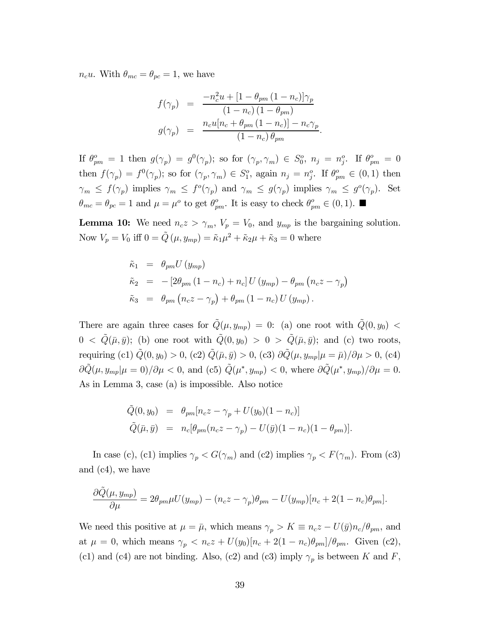$n_c u$ . With  $\theta_{mc} = \theta_{pc} = 1$ , we have

$$
f(\gamma_p) = \frac{-n_c^2 u + [1 - \theta_{pm} (1 - n_c)] \gamma_p}{(1 - n_c) (1 - \theta_{pm})}
$$
  

$$
g(\gamma_p) = \frac{n_c u [n_c + \theta_{pm} (1 - n_c)] - n_c \gamma_p}{(1 - n_c) \theta_{pm}}.
$$

If  $\theta_{pm}^o = 1$  then  $g(\gamma_p) = g^0(\gamma_p)$ ; so for  $(\gamma_p, \gamma_m) \in S_0^o$ ,  $n_j = n_j^o$ . If  $\theta_{pm}^o = 0$ then  $f(\gamma_p) = f^0(\gamma_p)$ ; so for  $(\gamma_p, \gamma_m) \in S_1^o$ , again  $n_j = n_j^o$ . If  $\theta_{pm}^o \in (0, 1)$  then  $\gamma_m \leq f(\gamma_p)$  implies  $\gamma_m \leq f^o(\gamma_p)$  and  $\gamma_m \leq g(\gamma_p)$  implies  $\gamma_m \leq g^o(\gamma_p)$ . Set  $\theta_{mc} = \theta_{pc} = 1$  and  $\mu = \mu^o$  to get  $\theta_{pm}^o$ . It is easy to check  $\theta_{pm}^o \in (0, 1)$ .

**Lemma 10:** We need  $n_c z > \gamma_m$ ,  $V_p = V_0$ , and  $y_{mp}$  is the bargaining solution. Now  $V_p = V_0$  iff  $0 = \tilde{Q}(\mu, y_{mp}) = \tilde{\kappa}_1 \mu^2 + \tilde{\kappa}_2 \mu + \tilde{\kappa}_3 = 0$  where

$$
\tilde{\kappa}_1 = \theta_{pm} U(y_{mp})
$$
  
\n
$$
\tilde{\kappa}_2 = -[2\theta_{pm} (1 - n_c) + n_c] U(y_{mp}) - \theta_{pm} (n_c z - \gamma_p)
$$
  
\n
$$
\tilde{\kappa}_3 = \theta_{pm} (n_c z - \gamma_p) + \theta_{pm} (1 - n_c) U(y_{mp}).
$$

There are again three cases for  $\tilde{Q}(\mu, y_{mp})=0$ : (a) one root with  $\tilde{Q}(0, y_0)$  <  $0 < \tilde{Q}(\bar{\mu}, \bar{y});$  (b) one root with  $\tilde{Q}(0, y_0) > 0 > \tilde{Q}(\bar{\mu}, \bar{y});$  and (c) two roots, requiring (c1)  $\tilde{Q}(0, y_0) > 0$ , (c2)  $\tilde{Q}(\bar{\mu}, \bar{y}) > 0$ , (c3)  $\partial \tilde{Q}(\mu, y_{mp} | \mu = \bar{\mu}) / \partial \mu > 0$ , (c4)  $\partial \tilde{Q}(\mu, y_{mp}|\mu = 0)/\partial \mu < 0$ , and (c5)  $\tilde{Q}(\mu^*, y_{mp}) < 0$ , where  $\partial \tilde{Q}(\mu^*, y_{mp})/\partial \mu = 0$ . As in Lemma 3, case (a) is impossible. Also notice

$$
\begin{array}{rcl}\n\tilde{Q}(0, y_0) & = & \theta_{pm} [n_c z - \gamma_p + U(y_0)(1 - n_c)] \\
\tilde{Q}(\bar{\mu}, \bar{y}) & = & n_c [\theta_{pm} (n_c z - \gamma_p) - U(\bar{y})(1 - n_c)(1 - \theta_{pm})].\n\end{array}
$$

In case (c), (c1) implies  $\gamma_p < G(\gamma_m)$  and (c2) implies  $\gamma_p < F(\gamma_m)$ . From (c3) and (c4), we have

$$
\frac{\partial \tilde{Q}(\mu, y_{mp})}{\partial \mu} = 2\theta_{pm} \mu U(y_{mp}) - (n_c z - \gamma_p)\theta_{pm} - U(y_{mp})[n_c + 2(1 - n_c)\theta_{pm}].
$$

We need this positive at  $\mu = \bar{\mu}$ , which means  $\gamma_p > K \equiv n_c z - U(\bar{y})n_c/\theta_{pm}$ , and at  $\mu = 0$ , which means  $\gamma_p < n_c z + U(y_0)[n_c + 2(1 - n_c)\theta_{pm}] / \theta_{pm}$ . Given (c2), (c1) and (c4) are not binding. Also, (c2) and (c3) imply  $\gamma_p$  is between K and F,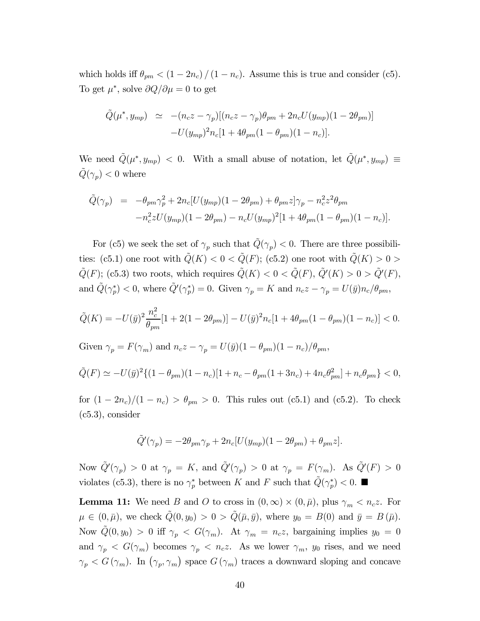which holds iff  $\theta_{pm} < (1 - 2n_c) / (1 - n_c)$ . Assume this is true and consider (c5). To get  $\mu^*$ , solve  $\partial Q/\partial \mu = 0$  to get

$$
\tilde{Q}(\mu^*, y_{mp}) \simeq -(n_c z - \gamma_p)[(n_c z - \gamma_p)\theta_{pm} + 2n_c U(y_{mp})(1 - 2\theta_{pm})]
$$

$$
-U(y_{mp})^2 n_c [1 + 4\theta_{pm}(1 - \theta_{pm})(1 - n_c)].
$$

We need  $\tilde{Q}(\mu^*, y_{mp})$  < 0. With a small abuse of notation, let  $\tilde{Q}(\mu^*, y_{mp}) \equiv$  $\tilde{Q}(\gamma_p) < 0$  where

$$
\tilde{Q}(\gamma_p) = -\theta_{pm}\gamma_p^2 + 2n_c[U(y_{mp})(1 - 2\theta_{pm}) + \theta_{pm}z]\gamma_p - n_c^2 z^2 \theta_{pm} \n- n_c^2 z U(y_{mp})(1 - 2\theta_{pm}) - n_c U(y_{mp})^2 [1 + 4\theta_{pm}(1 - \theta_{pm})(1 - n_c)].
$$

For (c5) we seek the set of  $\gamma_p$  such that  $\tilde{Q}(\gamma_p) < 0$ . There are three possibilities: (c5.1) one root with  $\tilde{Q}(K) < 0 < \tilde{Q}(F)$ ; (c5.2) one root with  $\tilde{Q}(K) > 0$  $\tilde{Q}(F)$ ; (c5.3) two roots, which requires  $\tilde{Q}(K) < 0 < \tilde{Q}(F)$ ,  $\tilde{Q}'(K) > 0 > \tilde{Q}'(F)$ , and  $\tilde{Q}(\gamma_p^*) < 0$ , where  $\tilde{Q}'(\gamma_p^*) = 0$ . Given  $\gamma_p = K$  and  $n_c z - \gamma_p = U(\bar{y})n_c/\theta_{pm}$ ,

$$
\tilde{Q}(K) = -U(\bar{y})^2 \frac{n_c^2}{\theta_{pm}} [1 + 2(1 - 2\theta_{pm})] - U(\bar{y})^2 n_c [1 + 4\theta_{pm}(1 - \theta_{pm})(1 - n_c)] < 0.
$$

Given  $\gamma_p = F(\gamma_m)$  and  $n_c z - \gamma_p = U(\bar{y})(1 - \theta_{pm})(1 - n_c)/\theta_{pm}$ ,

$$
\tilde{Q}(F) \simeq -U(\bar{y})^2 \{ (1 - \theta_{pm})(1 - n_c)[1 + n_c - \theta_{pm}(1 + 3n_c) + 4n_c \theta_{pm}^2] + n_c \theta_{pm} \} < 0,
$$

for  $(1 - 2n_c)/(1 - n_c) > \theta_{pm} > 0$ . This rules out (c5.1) and (c5.2). To check (c5.3), consider

$$
\tilde{Q}'(\gamma_p) = -2\theta_{pm}\gamma_p + 2n_c[U(y_{mp})(1 - 2\theta_{pm}) + \theta_{pm}z].
$$

Now  $\tilde{Q}'(\gamma_p) > 0$  at  $\gamma_p = K$ , and  $\tilde{Q}'(\gamma_p) > 0$  at  $\gamma_p = F(\gamma_m)$ . As  $\tilde{Q}'(F) > 0$ violates (c5.3), there is no  $\gamma_p^*$  between K and F such that  $\tilde{Q}(\gamma_p^*) < 0$ .

**Lemma 11:** We need B and O to cross in  $(0, \infty) \times (0, \bar{\mu})$ , plus  $\gamma_m < n_c z$ . For  $\mu \in (0, \bar{\mu})$ , we check  $\tilde{Q}(0, y_0) > 0 > \tilde{Q}(\bar{\mu}, \bar{y})$ , where  $y_0 = B(0)$  and  $\bar{y} = B(\bar{\mu})$ . Now  $\tilde{Q}(0, y_0) > 0$  iff  $\gamma_p < G(\gamma_m)$ . At  $\gamma_m = n_c z$ , bargaining implies  $y_0 = 0$ and  $\gamma_p \leq G(\gamma_m)$  becomes  $\gamma_p \leq n_c z$ . As we lower  $\gamma_m$ ,  $y_0$  rises, and we need  $\gamma_p < G(\gamma_m)$ . In  $(\gamma_p, \gamma_m)$  space  $G(\gamma_m)$  traces a downward sloping and concave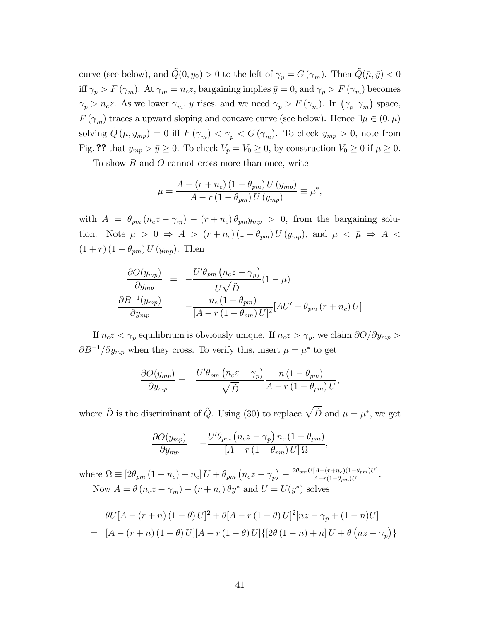curve (see below), and  $\tilde{Q}(0, y_0) > 0$  to the left of  $\gamma_p = G(\gamma_m)$ . Then  $\tilde{Q}(\bar{\mu}, \bar{y}) < 0$ iff  $\gamma_p > F(\gamma_m)$ . At  $\gamma_m = n_c z$ , bargaining implies  $\bar{y} = 0$ , and  $\gamma_p > F(\gamma_m)$  becomes  $\gamma_p > n_c z$ . As we lower  $\gamma_m$ ,  $\bar{y}$  rises, and we need  $\gamma_p > F(\gamma_m)$ . In  $(\gamma_p, \gamma_m)$  space,  $F(\gamma_m)$  traces a upward sloping and concave curve (see below). Hence  $\exists \mu \in (0, \bar{\mu})$ solving  $\tilde{Q}(\mu, y_{mp})=0$  iff  $F(\gamma_m) < \gamma_p < G(\gamma_m)$ . To check  $y_{mp} > 0$ , note from Fig. ?? that  $y_{mp} > \bar{y} \ge 0$ . To check  $V_p = V_0 \ge 0$ , by construction  $V_0 \ge 0$  if  $\mu \ge 0$ .

To show  $B$  and  $O$  cannot cross more than once, write

$$
\mu = \frac{A - (r + n_c)(1 - \theta_{pm}) U (y_{mp})}{A - r (1 - \theta_{pm}) U (y_{mp})} \equiv \mu^*,
$$

with  $A = \theta_{pm} (n_c z - \gamma_m) - (r + n_c) \theta_{pm} y_{mp} > 0$ , from the bargaining solution. Note  $\mu > 0 \Rightarrow A > (r + n_c) (1 - \theta_{pm}) U(y_{mp}),$  and  $\mu < \bar{\mu} \Rightarrow A <$  $(1 + r) (1 - \theta_{pm}) U(y_{mp}).$  Then

$$
\frac{\partial O(y_{mp})}{\partial y_{mp}} = -\frac{U'\theta_{pm}\left(n_c z - \gamma_p\right)}{U\sqrt{\tilde{D}}}(1-\mu)
$$

$$
\frac{\partial B^{-1}(y_{mp})}{\partial y_{mp}} = -\frac{n_c(1-\theta_{pm})}{[A-r(1-\theta_{pm})U]^2}[AU' + \theta_{pm}\left(r + n_c\right)U]
$$

If  $n_c z < \gamma_p$  equilibrium is obviously unique. If  $n_c z > \gamma_p$ , we claim  $\partial O/\partial y_{mp} >$  $\partial B^{-1}/\partial y_{mp}$  when they cross. To verify this, insert  $\mu = \mu^*$  to get

$$
\frac{\partial O(y_{mp})}{\partial y_{mp}} = -\frac{U'\theta_{pm}\left(n_c z - \gamma_p\right)}{\sqrt{\tilde{D}}} \frac{n\left(1 - \theta_{pm}\right)}{A - r\left(1 - \theta_{pm}\right)U},
$$

where  $\tilde{D}$  is the discriminant of  $\tilde{Q}$ . Using (30) to replace  $\sqrt{\tilde{D}}$  and  $\mu = \mu^*$ , we get

$$
\frac{\partial O(y_{mp})}{\partial y_{mp}} = -\frac{U'\theta_{pm}\left(n_c z - \gamma_p\right)n_c\left(1 - \theta_{pm}\right)}{\left[A - r\left(1 - \theta_{pm}\right)U\right]\Omega},
$$

where  $\Omega \equiv [2\theta_{pm} (1 - n_c) + n_c] U + \theta_{pm} (n_c z - \gamma_p) - \frac{2\theta_{pm} U [A - (r + n_c)(1 - \theta_{pm})U]}{A - r(1 - \theta_{pm})U}$ . Now  $A = \theta (n_c z - \gamma_m) - (r + n_c) \theta y^*$  and  $U = U(y^*)$  solves

$$
\theta U[A - (r + n) (1 - \theta) U]^2 + \theta [A - r (1 - \theta) U]^2 [nz - \gamma_p + (1 - n) U]
$$
  
= 
$$
[A - (r + n) (1 - \theta) U][A - r (1 - \theta) U][2\theta (1 - n) + n] U + \theta (nz - \gamma_p)
$$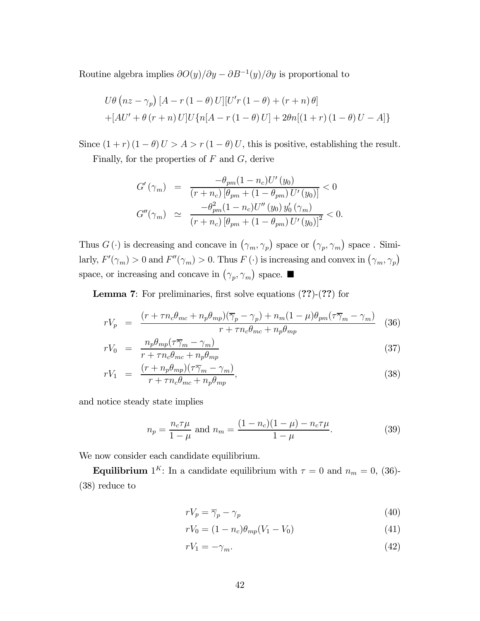Routine algebra implies  $\partial O(y)/\partial y - \partial B^{-1}(y)/\partial y$  is proportional to

$$
U\theta \left( nz - \gamma_p \right) \left[ A - r \left( 1 - \theta \right) U \right] \left[ U'r \left( 1 - \theta \right) + \left( r + n \right) \theta \right]
$$
  
+ \left[ AU' + \theta \left( r + n \right) U \right] U \left\{ n \left[ A - r \left( 1 - \theta \right) U \right] + 2\theta n \left[ \left( 1 + r \right) \left( 1 - \theta \right) U - A \right] \right\}

Since  $(1 + r) (1 - \theta) U > A > r (1 - \theta) U$ , this is positive, establishing the result.

Finally, for the properties of  $F$  and  $G$ , derive

$$
G'(\gamma_m) = \frac{-\theta_{pm}(1 - n_c)U'(y_0)}{(r + n_c)[\theta_{pm} + (1 - \theta_{pm})U'(y_0)]} < 0
$$
  

$$
G''(\gamma_m) \simeq \frac{-\theta_{pm}^2(1 - n_c)U''(y_0) y'_0(\gamma_m)}{(r + n_c)[\theta_{pm} + (1 - \theta_{pm})U'(y_0)]^2} < 0.
$$

Thus  $G(\cdot)$  is decreasing and concave in  $(\gamma_m, \gamma_p)$  space or  $(\gamma_p, \gamma_m)$  space. Similarly,  $F'(\gamma_m) > 0$  and  $F''(\gamma_m) > 0$ . Thus  $F(\cdot)$  is increasing and convex in  $(\gamma_m, \gamma_p)$ space, or increasing and concave in  $(\gamma_p, \gamma_m)$  space.

Lemma 7: For preliminaries, first solve equations (??)-(??) for

$$
rV_p = \frac{(r + \tau n_c \theta_{mc} + n_p \theta_{mp})(\overline{\gamma}_p - \gamma_p) + n_m(1 - \mu)\theta_{pm}(\tau \overline{\gamma}_m - \gamma_m)}{r + \tau n_c \theta_{mc} + n_p \theta_{mp}} \tag{36}
$$

$$
rV_0 = \frac{n_p \theta_{mp} (\tau \overline{\gamma}_m - \gamma_m)}{r + \tau n_c \theta_{mc} + n_p \theta_{mp}} \tag{37}
$$

$$
rV_1 = \frac{(r + n_p \theta_{mp})(\tau \overline{\gamma}_m - \gamma_m)}{r + \tau n_c \theta_{mc} + n_p \theta_{mp}},
$$
\n(38)

and notice steady state implies

$$
n_p = \frac{n_c \tau \mu}{1 - \mu} \text{ and } n_m = \frac{(1 - n_c)(1 - \mu) - n_c \tau \mu}{1 - \mu}.
$$
 (39)

We now consider each candidate equilibrium.

**Equilibrium** 1<sup>K</sup>: In a candidate equilibrium with  $\tau = 0$  and  $n_m = 0$ , (36)-(38) reduce to

$$
rV_p = \overline{\gamma}_p - \gamma_p \tag{40}
$$

$$
rV_0 = (1 - n_c)\theta_{mp}(V_1 - V_0)
$$
\n(41)

$$
rV_1 = -\gamma_m. \tag{42}
$$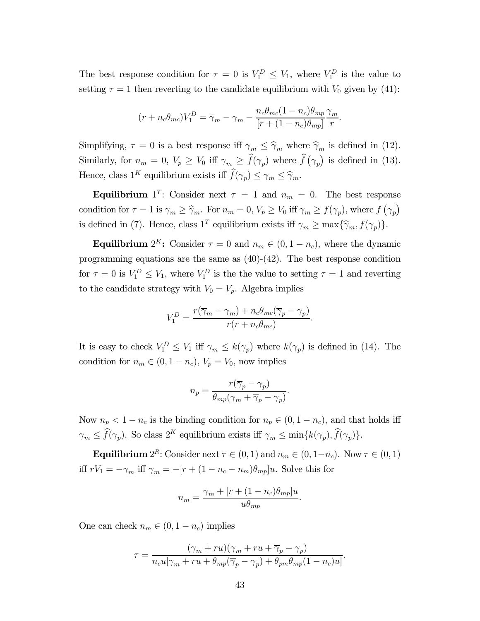The best response condition for  $\tau = 0$  is  $V_1^D \leq V_1$ , where  $V_1^D$  is the value to setting  $\tau = 1$  then reverting to the candidate equilibrium with  $V_0$  given by (41):

$$
(r + n_c \theta_{mc})V_1^D = \overline{\gamma}_m - \gamma_m - \frac{n_c \theta_{mc} (1 - n_c) \theta_{mp}}{[r + (1 - n_c) \theta_{mp}]} \frac{\gamma_m}{r}.
$$

Simplifying,  $\tau = 0$  is a best response iff  $\gamma_m \leq \hat{\gamma}_m$  where  $\hat{\gamma}_m$  is defined in (12). Similarly, for  $n_m = 0$ ,  $V_p \ge V_0$  iff  $\gamma_m \ge \hat{f}(\gamma_p)$  where  $\hat{f}(\gamma_p)$  is defined in (13). Hence, class  $1^K$  equilibrium exists iff  $\widehat{f}(\gamma_p) \leq \gamma_m \leq \widehat{\gamma}_m$ .

**Equilibrium** 1<sup>T</sup>: Consider next  $\tau = 1$  and  $n_m = 0$ . The best response condition for  $\tau = 1$  is  $\gamma_m \geq \hat{\gamma}_m$ . For  $n_m = 0, V_p \geq V_0$  iff  $\gamma_m \geq f(\gamma_p)$ , where  $f(\gamma_p)$ is defined in (7). Hence, class  $1^T$  equilibrium exists iff  $\gamma_m \ge \max{\{\hat{\gamma}_m, f(\gamma_p)\}}$ .

**Equilibrium**  $2^{K}$ : Consider  $\tau = 0$  and  $n_m \in (0, 1 - n_c)$ , where the dynamic programming equations are the same as  $(40)-(42)$ . The best response condition for  $\tau = 0$  is  $V_1^D \leq V_1$ , where  $V_1^D$  is the the value to setting  $\tau = 1$  and reverting to the candidate strategy with  $V_0 = V_p$ . Algebra implies

$$
V_1^D = \frac{r(\overline{\gamma}_m - \gamma_m) + n_c \theta_{mc}(\overline{\gamma}_p - \gamma_p)}{r(r + n_c \theta_{mc})}.
$$

It is easy to check  $V_1^D \leq V_1$  iff  $\gamma_m \leq k(\gamma_p)$  where  $k(\gamma_p)$  is defined in (14). The condition for  $n_m \in (0, 1 - n_c)$ ,  $V_p = V_0$ , now implies

$$
n_p = \frac{r(\overline{\gamma}_p - \gamma_p)}{\theta_{mp}(\gamma_m + \overline{\gamma}_p - \gamma_p)}.
$$

Now  $n_p < 1 - n_c$  is the binding condition for  $n_p \in (0, 1 - n_c)$ , and that holds iff  $\gamma_m \leq \widehat{f}(\gamma_p)$ . So class  $2^K$  equilibrium exists iff  $\gamma_m \leq \min\{k(\gamma_p), \widehat{f}(\gamma_p)\}.$ 

**Equilibrium**  $2^R$ : Consider next  $\tau \in (0, 1)$  and  $n_m \in (0, 1-n_c)$ . Now  $\tau \in (0, 1)$ iff  $rV_1 = -\gamma_m$  iff  $\gamma_m = -[r + (1 - n_c - n_m)\theta_{mp}]u$ . Solve this for

$$
n_m = \frac{\gamma_m + [r + (1 - n_c)\theta_{mp}]u}{u\theta_{mp}}.
$$

One can check  $n_m \in (0, 1 - n_c)$  implies

$$
\tau = \frac{(\gamma_m + ru)(\gamma_m + ru + \overline{\gamma}_p - \gamma_p)}{n_c u[\gamma_m + ru + \theta_{mp}(\overline{\gamma}_p - \gamma_p) + \theta_{pm}\theta_{mp}(1 - n_c)u]}.
$$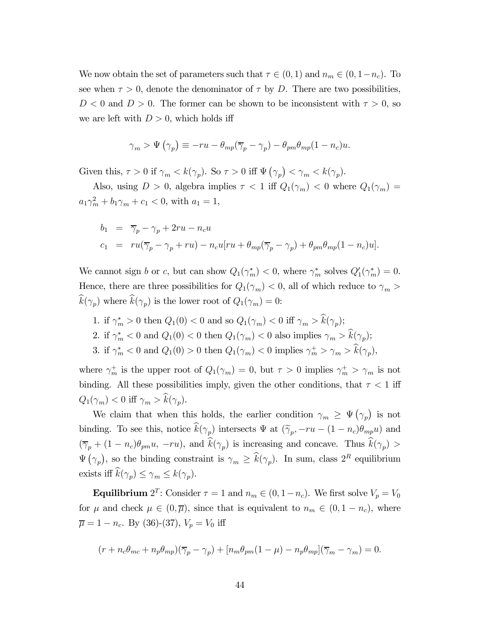We now obtain the set of parameters such that  $\tau \in (0,1)$  and  $n_m \in (0,1-n_c)$ . To see when  $\tau > 0$ , denote the denominator of  $\tau$  by D. There are two possibilities,  $D < 0$  and  $D > 0$ . The former can be shown to be inconsistent with  $\tau > 0$ , so we are left with  $D > 0$ , which holds iff

$$
\gamma_m > \Psi(\gamma_p) \equiv -ru - \theta_{mp}(\overline{\gamma}_p - \gamma_p) - \theta_{pm}\theta_{mp}(1 - n_c)u.
$$

Given this,  $\tau > 0$  if  $\gamma_m < k(\gamma_p)$ . So  $\tau > 0$  iff  $\Psi(\gamma_p) < \gamma_m < k(\gamma_p)$ .

Also, using  $D > 0$ , algebra implies  $\tau < 1$  iff  $Q_1(\gamma_m) < 0$  where  $Q_1(\gamma_m) =$  $a_1 \gamma_m^2 + b_1 \gamma_m + c_1 < 0$ , with  $a_1 = 1$ ,

$$
b_1 = \overline{\gamma}_p - \gamma_p + 2ru - n_c u
$$
  
\n
$$
c_1 = ru(\overline{\gamma}_p - \gamma_p + ru) - n_c u [ru + \theta_{mp}(\overline{\gamma}_p - \gamma_p) + \theta_{pm} \theta_{mp} (1 - n_c) u].
$$

We cannot sign *b* or *c*, but can show  $Q_1(\gamma_m^*) < 0$ , where  $\gamma_m^*$  solves  $Q_1'(\gamma_m^*) = 0$ . Hence, there are three possibilities for  $Q_1(\gamma_m) < 0$ , all of which reduce to  $\gamma_m >$  $\widehat{k}(\gamma_p)$  where  $\widehat{k}(\gamma_p)$  is the lower root of  $Q_1(\gamma_m)=0$ :

- 1. if  $\gamma_m^* > 0$  then  $Q_1(0) < 0$  and so  $Q_1(\gamma_m) < 0$  iff  $\gamma_m > k(\gamma_p)$ ;
- 2. if  $\gamma_m^* < 0$  and  $Q_1(0) < 0$  then  $Q_1(\gamma_m) < 0$  also implies  $\gamma_m > k(\gamma_p)$ ;
- 3. if  $\gamma_m^* < 0$  and  $Q_1(0) > 0$  then  $Q_1(\gamma_m) < 0$  implies  $\gamma_m^+ > \gamma_m > \hat{k}(\gamma_p)$ ,

where  $\gamma_m^+$  is the upper root of  $Q_1(\gamma_m)=0$ , but  $\tau>0$  implies  $\gamma_m^+>\gamma_m$  is not binding. All these possibilities imply, given the other conditions, that  $\tau < 1$  iff  $Q_1(\gamma_m) < 0$  iff  $\gamma_m > \widehat{k}(\gamma_p)$ .

We claim that when this holds, the earlier condition  $\gamma_m \geq \Psi(\gamma_p)$  is not binding. To see this, notice  $\hat{k}(\gamma_p)$  intersects  $\Psi$  at  $(\tilde{\gamma}_p, -ru - (1 - n_c)\theta_{mp}u)$  and  $(\overline{\gamma}_p + (1 - n_c)\theta_{pm}u, -ru),$  and  $\widehat{k}(\gamma_p)$  is increasing and concave. Thus  $\widehat{k}(\gamma_p)$  $\Psi(\gamma_p)$ , so the binding constraint is  $\gamma_m \geq \hat{k}(\gamma_p)$ . In sum, class  $2^R$  equilibrium exists iff  $\widehat{k}(\gamma_n) \leq \gamma_m \leq k(\gamma_n)$ .

**Equilibrium**  $2^T$ : Consider  $\tau = 1$  and  $n_m \in (0, 1 - n_c)$ . We first solve  $V_p = V_0$ for  $\mu$  and check  $\mu \in (0, \overline{\mu})$ , since that is equivalent to  $n_m \in (0, 1 - n_c)$ , where  $\overline{\mu} = 1 - n_c$ . By (36)-(37),  $V_p = V_0$  iff

$$
(r + n_c \theta_{mc} + n_p \theta_{mp}) (\overline{\gamma}_p - \gamma_p) + [n_m \theta_{pm} (1 - \mu) - n_p \theta_{mp}] (\overline{\gamma}_m - \gamma_m) = 0.
$$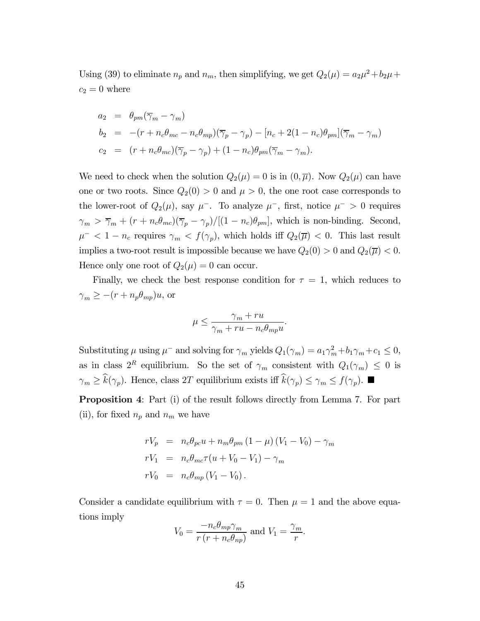Using (39) to eliminate  $n_p$  and  $n_m$ , then simplifying, we get  $Q_2(\mu) = a_2 \mu^2 + b_2 \mu +$  $c_2 = 0$  where

$$
a_2 = \theta_{pm}(\overline{\gamma}_m - \gamma_m)
$$
  
\n
$$
b_2 = -(r + n_c\theta_{mc} - n_c\theta_{mp})(\overline{\gamma}_p - \gamma_p) - [n_c + 2(1 - n_c)\theta_{pm}](\overline{\gamma}_m - \gamma_m)
$$
  
\n
$$
c_2 = (r + n_c\theta_{mc})(\overline{\gamma}_p - \gamma_p) + (1 - n_c)\theta_{pm}(\overline{\gamma}_m - \gamma_m).
$$

We need to check when the solution  $Q_2(\mu)=0$  is in  $(0,\overline{\mu})$ . Now  $Q_2(\mu)$  can have one or two roots. Since  $Q_2(0) > 0$  and  $\mu > 0$ , the one root case corresponds to the lower-root of  $Q_2(\mu)$ , say  $\mu^-$ . To analyze  $\mu^-$ , first, notice  $\mu^- > 0$  requires  $\gamma_m > \overline{\gamma}_m + (r + n_c \theta_{mc})(\overline{\gamma}_p - \gamma_p)/[(1 - n_c)\theta_{pm}]$ , which is non-binding. Second,  $\mu^- < 1 - n_c$  requires  $\gamma_m < f(\gamma_p)$ , which holds iff  $Q_2(\overline{\mu}) < 0$ . This last result implies a two-root result is impossible because we have  $Q_2(0) > 0$  and  $Q_2(\overline{\mu}) < 0$ . Hence only one root of  $Q_2(\mu)=0$  can occur.

Finally, we check the best response condition for  $\tau = 1$ , which reduces to  $\gamma_m \geq -(r + n_p \theta_{mp})u$ , or

$$
\mu \le \frac{\gamma_m + r u}{\gamma_m + r u - n_c \theta_{mp} u}.
$$

Substituting  $\mu$  using  $\mu^-$  and solving for  $\gamma_m$  yields  $Q_1(\gamma_m) = a_1 \gamma_m^2 + b_1 \gamma_m + c_1 \leq 0$ , as in class  $2^R$  equilibrium. So the set of  $\gamma_m$  consistent with  $Q_1(\gamma_m) \leq 0$  is  $\gamma_m \geq \widehat{k}(\gamma_p)$ . Hence, class 2T equilibrium exists iff  $\widehat{k}(\gamma_p) \leq \gamma_m \leq f(\gamma_p)$ .

Proposition 4: Part (i) of the result follows directly from Lemma 7. For part (ii), for fixed  $n_p$  and  $n_m$  we have

$$
rV_p = n_c\theta_{pc}u + n_m\theta_{pm} (1 - \mu) (V_1 - V_0) - \gamma_m
$$
  
\n
$$
rV_1 = n_c\theta_{mc}\tau(u + V_0 - V_1) - \gamma_m
$$
  
\n
$$
rV_0 = n_c\theta_{mp} (V_1 - V_0).
$$

Consider a candidate equilibrium with  $\tau = 0$ . Then  $\mu = 1$  and the above equations imply

$$
V_0 = \frac{-n_c \theta_{mp} \gamma_m}{r (r + n_c \theta_{np})}
$$
 and  $V_1 = \frac{\gamma_m}{r}$ .